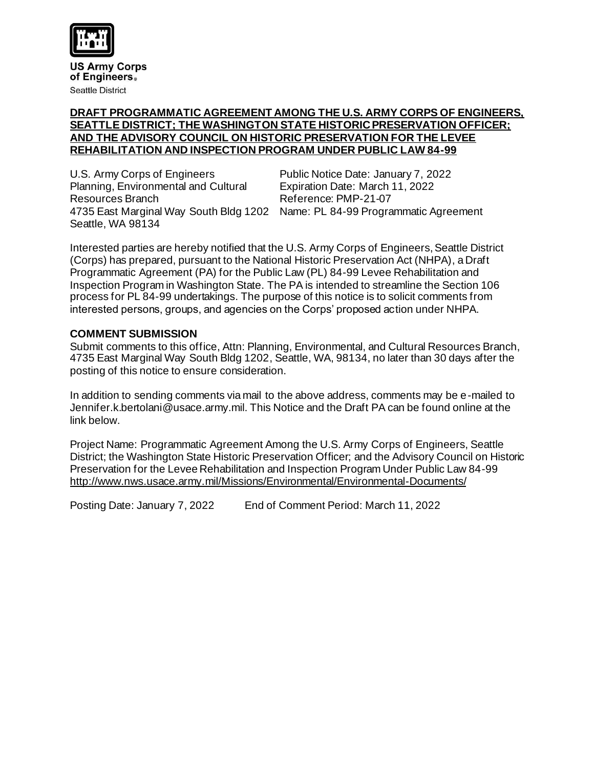

**US Army Corps** of Engineers. **Seattle District** 

#### **DRAFT PROGRAMMATIC AGREEMENT AMONG THE U.S. ARMY CORPS OF ENGINEERS, SEATTLE DISTRICT; THE WASHINGTON STATE HISTORIC PRESERVATION OFFICER; AND THE ADVISORY COUNCIL ON HISTORIC PRESERVATION FOR THE LEVEE REHABILITATION AND INSPECTION PROGRAM UNDER PUBLIC LAW 84-99**

U.S. Army Corps of Engineers Public Notice Date: January 7, 2022 Planning, Environmental and Cultural Expiration Date: March 11, 2022 Resources Branch Reference: PMP-21-07 Seattle, WA 98134

4735 East Marginal Way South Bldg 1202 Name: PL 84-99 Programmatic Agreement

Interested parties are hereby notified that the U.S. Army Corps of Engineers, Seattle District (Corps) has prepared, pursuant to the National Historic Preservation Act (NHPA), a Draft Programmatic Agreement (PA) for the Public Law (PL) 84-99 Levee Rehabilitation and Inspection Program in Washington State. The PA is intended to streamline the Section 106 process for PL 84-99 undertakings. The purpose of this notice is to solicit comments from interested persons, groups, and agencies on the Corps' proposed action under NHPA.

### **COMMENT SUBMISSION**

Submit comments to this office, Attn: Planning, Environmental, and Cultural Resources Branch, 4735 East Marginal Way South Bldg 1202, Seattle, WA, 98134, no later than 30 days after the posting of this notice to ensure consideration.

In addition to sending comments via mail to the above address, comments may be e-mailed to Jennifer.k.bertolani@usace.army.mil. This Notice and the Draft PA can be found online at the link below.

Project Name: Programmatic Agreement Among the U.S. Army Corps of Engineers, Seattle District; the Washington State Historic Preservation Officer; and the Advisory Council on Historic Preservation for the Levee Rehabilitation and Inspection Program Under Public Law 84-99 http://www.nws.usace.army.mil/Missions/Environmental/Environmental-Documents/

Posting Date: January 7, 2022 End of Comment Period: March 11, 2022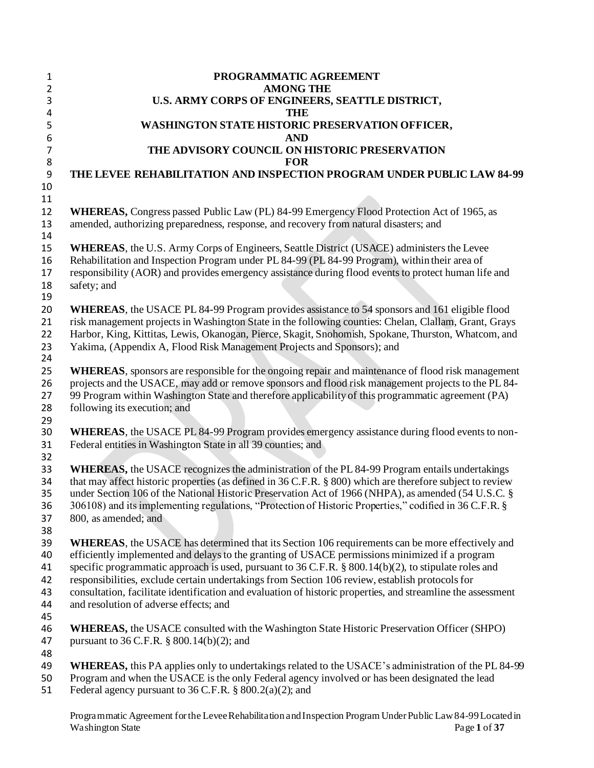| $\mathbf{1}$   | PROGRAMMATIC AGREEMENT                                                                                       |
|----------------|--------------------------------------------------------------------------------------------------------------|
| $\overline{2}$ | <b>AMONG THE</b>                                                                                             |
| 3              | U.S. ARMY CORPS OF ENGINEERS, SEATTLE DISTRICT,                                                              |
| 4              | <b>THE</b>                                                                                                   |
| 5              | WASHINGTON STATE HISTORIC PRESERVATION OFFICER,                                                              |
| 6              | <b>AND</b>                                                                                                   |
| $\overline{7}$ | THE ADVISORY COUNCIL ON HISTORIC PRESERVATION                                                                |
| 8              | <b>FOR</b>                                                                                                   |
| 9              | THE LEVEE REHABILITATION AND INSPECTION PROGRAM UNDER PUBLIC LAW 84-99                                       |
| 10             |                                                                                                              |
| 11             |                                                                                                              |
| 12             | <b>WHEREAS,</b> Congress passed Public Law (PL) 84-99 Emergency Flood Protection Act of 1965, as             |
| 13             | amended, authorizing preparedness, response, and recovery from natural disasters; and                        |
| 14             |                                                                                                              |
| 15             | <b>WHEREAS</b> , the U.S. Army Corps of Engineers, Seattle District (USACE) administers the Levee            |
| 16             | Rehabilitation and Inspection Program under PL 84-99 (PL 84-99 Program), within their area of                |
| 17             | responsibility (AOR) and provides emergency assistance during flood events to protect human life and         |
| 18<br>19       | safety; and                                                                                                  |
| 20             | WHEREAS, the USACE PL 84-99 Program provides assistance to 54 sponsors and 161 eligible flood                |
| 21             | risk management projects in Washington State in the following counties: Chelan, Clallam, Grant, Grays        |
| 22             | Harbor, King, Kittitas, Lewis, Okanogan, Pierce, Skagit, Snohomish, Spokane, Thurston, Whatcom, and          |
| 23             | Yakima, (Appendix A, Flood Risk Management Projects and Sponsors); and                                       |
| 24             |                                                                                                              |
| 25             | WHEREAS, sponsors are responsible for the ongoing repair and maintenance of flood risk management            |
| 26             | projects and the USACE, may add or remove sponsors and flood risk management projects to the PL 84-          |
| 27             | 99 Program within Washington State and therefore applicability of this programmatic agreement (PA)           |
| 28             | following its execution; and                                                                                 |
| 29             |                                                                                                              |
| 30             | <b>WHEREAS</b> , the USACE PL 84-99 Program provides emergency assistance during flood events to non-        |
| 31             | Federal entities in Washington State in all 39 counties; and                                                 |
| 32             |                                                                                                              |
| 33             | WHEREAS, the USACE recognizes the administration of the PL 84-99 Program entails undertakings                |
| 34             | that may affect historic properties (as defined in 36 C.F.R. § 800) which are therefore subject to review    |
| 35             | under Section 106 of the National Historic Preservation Act of 1966 (NHPA), as amended (54 U.S.C. §          |
| 36             | 306108) and its implementing regulations, "Protection of Historic Properties," codified in 36 C.F.R. §       |
| 37<br>38       | 800, as amended; and                                                                                         |
| 39             | <b>WHEREAS</b> , the USACE has determined that its Section 106 requirements can be more effectively and      |
| 40             | efficiently implemented and delays to the granting of USACE permissions minimized if a program               |
| 41             | specific programmatic approach is used, pursuant to $36$ C.F.R. § 800.14(b)(2), to stipulate roles and       |
| 42             | responsibilities, exclude certain undertakings from Section 106 review, establish protocols for              |
| 43             | consultation, facilitate identification and evaluation of historic properties, and streamline the assessment |
| 44             | and resolution of adverse effects; and                                                                       |
| 45             |                                                                                                              |
| 46             | <b>WHEREAS</b> , the USACE consulted with the Washington State Historic Preservation Officer (SHPO)          |
| 47             | pursuant to 36 C.F.R. $\S$ 800.14(b)(2); and                                                                 |
| 48             |                                                                                                              |
| 49             | <b>WHEREAS</b> , this PA applies only to undertakings related to the USACE's administration of the PL 84-99  |
| 50             | Program and when the USACE is the only Federal agency involved or has been designated the lead               |
| 51             | Federal agency pursuant to $36$ C.F.R. § $800.2(a)(2)$ ; and                                                 |
|                |                                                                                                              |

 $\begin{array}{c} \end{array}$ Programmatic Agreement for the LeveeRehabilitation andInspection Program Under Public Law84-99 Located in Washington State Page 1 of 37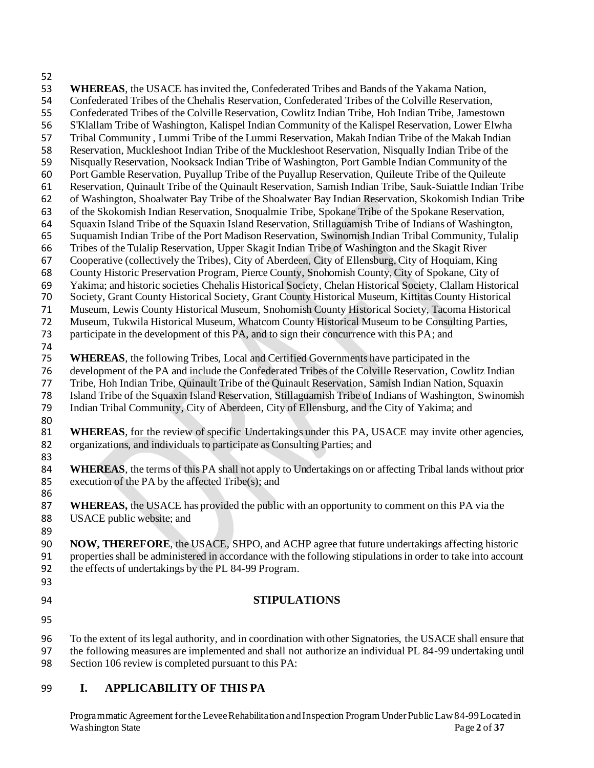**WHEREAS**, the USACE has invited the, Confederated Tribes and Bands of the Yakama Nation, Confederated Tribes of the Chehalis Reservation, Confederated Tribes of the Colville Reservation, Confederated Tribes of the Colville Reservation, Cowlitz Indian Tribe, Hoh Indian Tribe, Jamestown S'Klallam Tribe of Washington, Kalispel Indian Community of the Kalispel Reservation, Lower Elwha Tribal Community , Lummi Tribe of the Lummi Reservation, Makah Indian Tribe of the Makah Indian Reservation, Muckleshoot Indian Tribe of the Muckleshoot Reservation, Nisqually Indian Tribe of the Nisqually Reservation, Nooksack Indian Tribe of Washington, Port Gamble Indian Community of the Port Gamble Reservation, Puyallup Tribe of the Puyallup Reservation, Quileute Tribe of the Quileute Reservation, Quinault Tribe of the Quinault Reservation, Samish Indian Tribe, Sauk-Suiattle Indian Tribe of Washington, Shoalwater Bay Tribe of the Shoalwater Bay Indian Reservation, Skokomish Indian Tribe of the Skokomish Indian Reservation, Snoqualmie Tribe, Spokane Tribe of the Spokane Reservation, Squaxin Island Tribe of the Squaxin Island Reservation, Stillaguamish Tribe of Indians of Washington, Suquamish Indian Tribe of the Port Madison Reservation, Swinomish Indian Tribal Community, Tulalip Tribes of the Tulalip Reservation, Upper Skagit Indian Tribe of Washington and the Skagit River Cooperative (collectively the Tribes), City of Aberdeen, City of Ellensburg, City of Hoquiam, King County Historic Preservation Program, Pierce County, Snohomish County, City of Spokane, City of Yakima; and historic societies Chehalis Historical Society, Chelan Historical Society, Clallam Historical Society, Grant County Historical Society, Grant County Historical Museum, Kittitas County Historical Museum, Lewis County Historical Museum, Snohomish County Historical Society, Tacoma Historical Museum, Tukwila Historical Museum, Whatcom County Historical Museum to be Consulting Parties, 73 participate in the development of this PA, and to sign their concurrence with this PA; and **WHEREAS**, the following Tribes, Local and Certified Governments have participated in the development of the PA and include the Confederated Tribes of the Colville Reservation, Cowlitz Indian Tribe, Hoh Indian Tribe, Quinault Tribe of the Quinault Reservation, Samish Indian Nation, Squaxin Island Tribe of the Squaxin Island Reservation, Stillaguamish Tribe of Indians of Washington, Swinomish **WHEREAS**, for the review of specific Undertakings under this PA, USACE may invite other agencies, organizations, and individuals to participate as Consulting Parties; and **WHEREAS**, the terms of this PA shall not apply to Undertakings on or affecting Tribal lands without prior 85 execution of the PA by the affected  $\text{Tribe}(s)$ ; and **WHEREAS,** the USACE has provided the public with an opportunity to comment on this PA via the USACE public website; and **NOW, THEREFORE**, the USACE, SHPO, and ACHP agree that future undertakings affecting historic properties shall be administered in accordance with the following stipulations in order to take into account the effects of undertakings by the PL 84-99 Program. To the extent of its legal authority, and in coordination with other Signatories, the USACE shall ensure that the following measures are implemented and shall not authorize an individual PL 84-99 undertaking until **STIPULATIONS**  Indian Tribal Community, City of Aberdeen, City of Ellensburg, and the City of Yakima; and 

Section 106 review is completed pursuant to this PA:

## **I. APPLICABILITY OF THIS PA**

 Programmatic Agreement for the LeveeRehabilitation andInspection Program Under Public Law84-99 Located in Washington State Page 2 of 37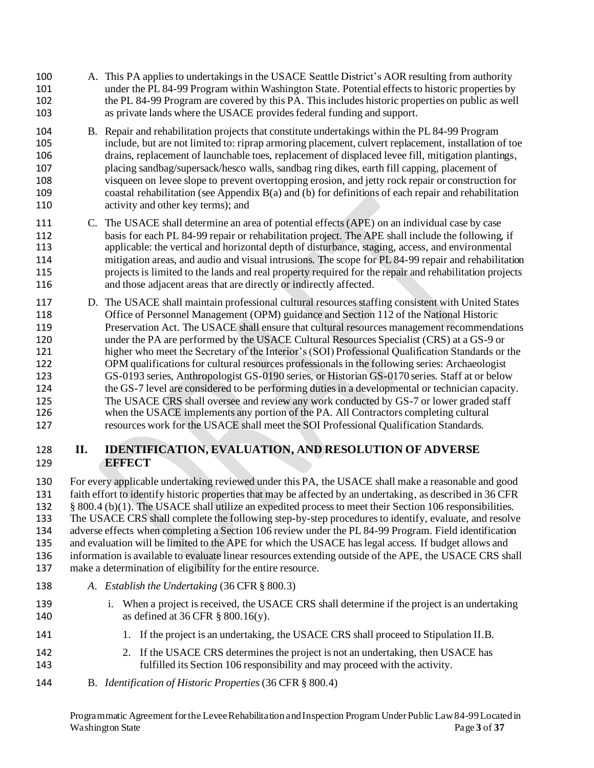- A. This PA applies to undertakings in the USACE Seattle District's AOR resulting from authority under the PL 84-99 Program within Washington State. Potential effects to historic properties by the PL 84-99 Program are covered by this PA. This includes historic properties on public as well as private lands where the USACE provides federal funding and support.
- B. Repair and rehabilitation projects that constitute undertakings within the PL 84-99 Program include, but are not limited to: riprap armoring placement, culvert replacement, installation of toe drains, replacement of launchable toes, replacement of displaced levee fill, mitigation plantings, placing sandbag/supersack/hesco walls, sandbag ring dikes, earth fill capping, placement of visqueen on levee slope to prevent overtopping erosion, and jetty rock repair or construction for coastal rehabilitation (see Appendix B(a) and (b) for definitions of each repair and rehabilitation activity and other key terms); and
- C. The USACE shall determine an area of potential effects (APE) on an individual case by case basis for each PL 84-99 repair or rehabilitation project. The APE shall include the following, if applicable: the vertical and horizontal depth of disturbance, staging, access, and environmental mitigation areas, and audio and visual intrusions. The scope for PL 84-99 repair and rehabilitation projects is limited to the lands and real property required for the repair and rehabilitation projects and those adjacent areas that are directly or indirectly affected.
- Office of Personnel Management (OPM) guidance and Section 112 of the National Historic Preservation Act. The USACE shall ensure that cultural resources management recommendations under the PA are performed by the USACE Cultural Resources Specialist (CRS) at a GS-9 or higher who meet the Secretary of the Interior's(SOI) Professional Qualification Standards or the GS-0193 series, Anthropologist GS-0190 series, or Historian GS-0170 series. Staff at or below 125 The USACE CRS shall oversee and review any work conducted by GS-7 or lower graded staff when the USACE implements any portion of the PA. All Contractors completing cultural resources work for the USACE shall meet the SOI Professional Qualification Standards. D. The USACE shall maintain professional cultural resources staffing consistent with United States OPM qualifications for cultural resources professionals in the following series: Archaeologist the GS-7 level are considered to be performing duties in a developmental or technician capacity.

# **II. IDENTIFICATION, EVALUATION, AND RESOLUTION OF ADVERSE EFFECT**

 For every applicable undertaking reviewed under this PA, the USACE shall make a reasonable and good faith effort to identify historic properties that may be affected by an undertaking, as described in 36 CFR 132 § 800.4 (b)(1). The USACE shall utilize an expedited process to meet their Section 106 responsibilities. The USACE CRS shall complete the following step-by-step procedures to identify, evaluate, and resolve adverse effects when completing a Section 106 review under the PL 84-99 Program. Field identification and evaluation will be limited to the APE for which the USACE has legal access. If budget allows and information is available to evaluate linear resources extending outside of the APE, the USACE CRS shall make a determination of eligibility for the entire resource. 

- *A. Establish the Undertaking* (36 CFR § 800.3)
- 139 i. When a project is received, the USACE CRS shall determine if the project is an undertaking as defined at 36 CFR § 800.16(y).
- 141 1. If the project is an undertaking, the USACE CRS shall proceed to Stipulation II.B.
- 142 2. If the USACE CRS determines the project is not an undertaking, then USACE has fulfilled its Section 106 responsibility and may proceed with the activity.
- B. *Identification of Historic Properties* (36 CFR § 800.4)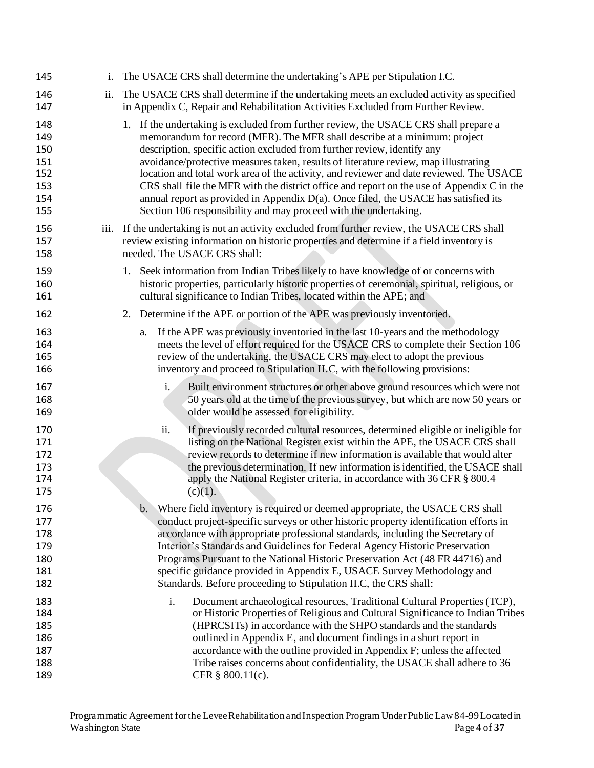| 145                                                  | 1.  | The USACE CRS shall determine the undertaking's APE per Stipulation I.C.                                                                                                                                                                                                                                                                                                                                                                                                                                                                                                                                                                                                                |
|------------------------------------------------------|-----|-----------------------------------------------------------------------------------------------------------------------------------------------------------------------------------------------------------------------------------------------------------------------------------------------------------------------------------------------------------------------------------------------------------------------------------------------------------------------------------------------------------------------------------------------------------------------------------------------------------------------------------------------------------------------------------------|
| 146<br>147                                           | ii. | The USACE CRS shall determine if the undertaking meets an excluded activity as specified<br>in Appendix C, Repair and Rehabilitation Activities Excluded from Further Review.                                                                                                                                                                                                                                                                                                                                                                                                                                                                                                           |
| 148<br>149<br>150<br>151<br>152<br>153<br>154<br>155 |     | 1. If the undertaking is excluded from further review, the USACE CRS shall prepare a<br>memorandum for record (MFR). The MFR shall describe at a minimum: project<br>description, specific action excluded from further review, identify any<br>avoidance/protective measures taken, results of literature review, map illustrating<br>location and total work area of the activity, and reviewer and date reviewed. The USACE<br>CRS shall file the MFR with the district office and report on the use of Appendix C in the<br>annual report as provided in Appendix D(a). Once filed, the USACE has satisfied its<br>Section 106 responsibility and may proceed with the undertaking. |
| 156<br>157<br>158                                    |     | iii. If the undertaking is not an activity excluded from further review, the USACE CRS shall<br>review existing information on historic properties and determine if a field inventory is<br>needed. The USACE CRS shall:                                                                                                                                                                                                                                                                                                                                                                                                                                                                |
| 159<br>160<br>161                                    |     | 1. Seek information from Indian Tribes likely to have knowledge of or concerns with<br>historic properties, particularly historic properties of ceremonial, spiritual, religious, or<br>cultural significance to Indian Tribes, located within the APE; and                                                                                                                                                                                                                                                                                                                                                                                                                             |
| 162                                                  |     | Determine if the APE or portion of the APE was previously inventoried.<br>2.                                                                                                                                                                                                                                                                                                                                                                                                                                                                                                                                                                                                            |
| 163<br>164<br>165<br>166                             |     | If the APE was previously inventoried in the last 10-years and the methodology<br>a.<br>meets the level of effort required for the USACE CRS to complete their Section 106<br>review of the undertaking, the USACE CRS may elect to adopt the previous<br>inventory and proceed to Stipulation II.C, with the following provisions:                                                                                                                                                                                                                                                                                                                                                     |
| 167<br>168<br>169                                    |     | i.<br>Built environment structures or other above ground resources which were not<br>50 years old at the time of the previous survey, but which are now 50 years or<br>older would be assessed for eligibility.                                                                                                                                                                                                                                                                                                                                                                                                                                                                         |
| 170<br>171<br>172<br>173<br>174<br>175               |     | If previously recorded cultural resources, determined eligible or ineligible for<br>ii.<br>listing on the National Register exist within the APE, the USACE CRS shall<br>review records to determine if new information is available that would alter<br>the previous determination. If new information is identified, the USACE shall<br>apply the National Register criteria, in accordance with 36 CFR § 800.4<br>(c)(1).                                                                                                                                                                                                                                                            |
| 176<br>177<br>178<br>179<br>180<br>181<br>182        |     | Where field inventory is required or deemed appropriate, the USACE CRS shall<br>b.<br>conduct project-specific surveys or other historic property identification efforts in<br>accordance with appropriate professional standards, including the Secretary of<br>Interior's Standards and Guidelines for Federal Agency Historic Preservation<br>Programs Pursuant to the National Historic Preservation Act (48 FR 44716) and<br>specific guidance provided in Appendix E, USACE Survey Methodology and<br>Standards. Before proceeding to Stipulation II.C, the CRS shall:                                                                                                            |
| 183<br>184<br>185<br>186<br>187<br>188<br>189        |     | Document archaeological resources, Traditional Cultural Properties (TCP),<br>i.<br>or Historic Properties of Religious and Cultural Significance to Indian Tribes<br>(HPRCSITs) in accordance with the SHPO standards and the standards<br>outlined in Appendix E, and document findings in a short report in<br>accordance with the outline provided in Appendix F; unless the affected<br>Tribe raises concerns about confidentiality, the USACE shall adhere to 36<br>CFR § 800.11(c).                                                                                                                                                                                               |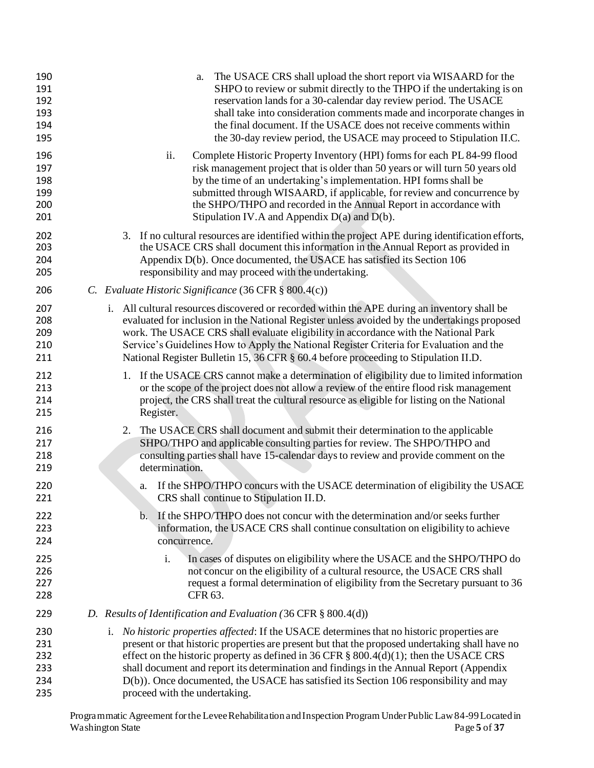| The USACE CRS shall upload the short report via WISAARD for the<br>a.<br>SHPO to review or submit directly to the THPO if the undertaking is on<br>reservation lands for a 30-calendar day review period. The USACE<br>shall take into consideration comments made and incorporate changes in<br>the final document. If the USACE does not receive comments within<br>the 30-day review period, the USACE may proceed to Stipulation II.C.                                                                        |
|-------------------------------------------------------------------------------------------------------------------------------------------------------------------------------------------------------------------------------------------------------------------------------------------------------------------------------------------------------------------------------------------------------------------------------------------------------------------------------------------------------------------|
| ii.<br>Complete Historic Property Inventory (HPI) forms for each PL 84-99 flood<br>risk management project that is older than 50 years or will turn 50 years old<br>by the time of an undertaking's implementation. HPI forms shall be<br>submitted through WISAARD, if applicable, for review and concurrence by<br>the SHPO/THPO and recorded in the Annual Report in accordance with<br>Stipulation IV.A and Appendix $D(a)$ and $D(b)$ .                                                                      |
| 3. If no cultural resources are identified within the project APE during identification efforts,<br>the USACE CRS shall document this information in the Annual Report as provided in<br>Appendix D(b). Once documented, the USACE has satisfied its Section 106<br>responsibility and may proceed with the undertaking.                                                                                                                                                                                          |
| C. Evaluate Historic Significance (36 CFR § 800.4(c))                                                                                                                                                                                                                                                                                                                                                                                                                                                             |
| i. All cultural resources discovered or recorded within the APE during an inventory shall be<br>evaluated for inclusion in the National Register unless avoided by the undertakings proposed<br>work. The USACE CRS shall evaluate eligibility in accordance with the National Park<br>Service's Guidelines How to Apply the National Register Criteria for Evaluation and the<br>National Register Bulletin 15, 36 CFR § 60.4 before proceeding to Stipulation II.D.                                             |
| 1. If the USACE CRS cannot make a determination of eligibility due to limited information<br>or the scope of the project does not allow a review of the entire flood risk management<br>project, the CRS shall treat the cultural resource as eligible for listing on the National<br>Register.                                                                                                                                                                                                                   |
| The USACE CRS shall document and submit their determination to the applicable<br>2.<br>SHPO/THPO and applicable consulting parties for review. The SHPO/THPO and<br>consulting parties shall have 15-calendar days to review and provide comment on the<br>determination.                                                                                                                                                                                                                                         |
| If the SHPO/THPO concurs with the USACE determination of eligibility the USACE<br>a.<br>CRS shall continue to Stipulation II.D.                                                                                                                                                                                                                                                                                                                                                                                   |
| b. If the SHPO/THPO does not concur with the determination and/or seeks further<br>information, the USACE CRS shall continue consultation on eligibility to achieve<br>concurrence.                                                                                                                                                                                                                                                                                                                               |
| i.<br>In cases of disputes on eligibility where the USACE and the SHPO/THPO do<br>not concur on the eligibility of a cultural resource, the USACE CRS shall<br>request a formal determination of eligibility from the Secretary pursuant to 36<br>CFR 63.                                                                                                                                                                                                                                                         |
| D. Results of Identification and Evaluation (36 CFR $\S$ 800.4(d))                                                                                                                                                                                                                                                                                                                                                                                                                                                |
| i. No historic properties affected: If the USACE determines that no historic properties are<br>present or that historic properties are present but that the proposed undertaking shall have no<br>effect on the historic property as defined in 36 CFR $\S$ 800.4(d)(1); then the USACE CRS<br>shall document and report its determination and findings in the Annual Report (Appendix<br>D(b)). Once documented, the USACE has satisfied its Section 106 responsibility and may<br>proceed with the undertaking. |
|                                                                                                                                                                                                                                                                                                                                                                                                                                                                                                                   |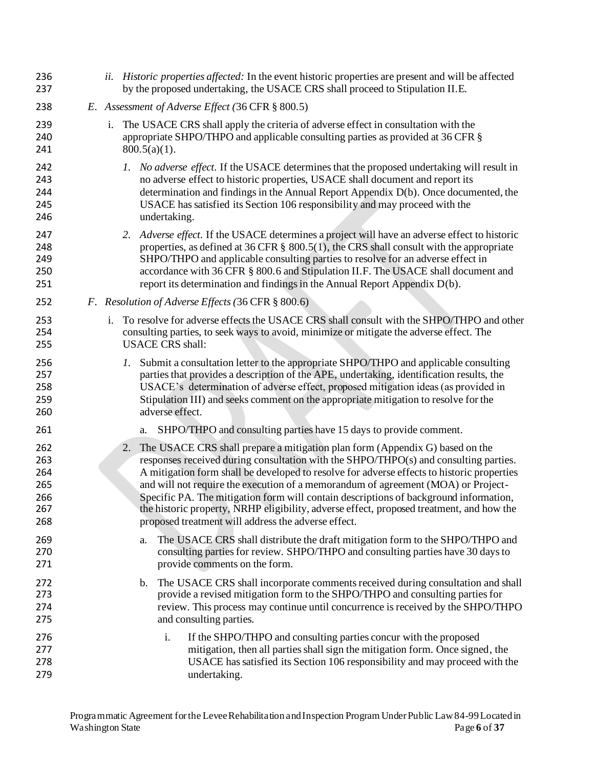| 236<br>237                                    |    |                 | <i>ii. Historic properties affected:</i> In the event historic properties are present and will be affected<br>by the proposed undertaking, the USACE CRS shall proceed to Stipulation II.E.                                                                                                                                                                                                                                                                                                                                                                                                         |
|-----------------------------------------------|----|-----------------|-----------------------------------------------------------------------------------------------------------------------------------------------------------------------------------------------------------------------------------------------------------------------------------------------------------------------------------------------------------------------------------------------------------------------------------------------------------------------------------------------------------------------------------------------------------------------------------------------------|
| 238                                           |    |                 | E. Assessment of Adverse Effect (36 CFR § 800.5)                                                                                                                                                                                                                                                                                                                                                                                                                                                                                                                                                    |
| 239<br>240<br>241                             | i. | $800.5(a)(1)$ . | The USACE CRS shall apply the criteria of adverse effect in consultation with the<br>appropriate SHPO/THPO and applicable consulting parties as provided at 36 CFR §                                                                                                                                                                                                                                                                                                                                                                                                                                |
| 242<br>243<br>244<br>245<br>246               |    |                 | 1. No adverse effect. If the USACE determines that the proposed undertaking will result in<br>no adverse effect to historic properties, USACE shall document and report its<br>determination and findings in the Annual Report Appendix D(b). Once documented, the<br>USACE has satisfied its Section 106 responsibility and may proceed with the<br>undertaking.                                                                                                                                                                                                                                   |
| 247<br>248<br>249<br>250<br>251               |    |                 | 2. Adverse effect. If the USACE determines a project will have an adverse effect to historic<br>properties, as defined at 36 CFR $\S$ 800.5(1), the CRS shall consult with the appropriate<br>SHPO/THPO and applicable consulting parties to resolve for an adverse effect in<br>accordance with 36 CFR § 800.6 and Stipulation II.F. The USACE shall document and<br>report its determination and findings in the Annual Report Appendix D(b).                                                                                                                                                     |
| 252                                           |    |                 | F. Resolution of Adverse Effects (36 CFR § 800.6)                                                                                                                                                                                                                                                                                                                                                                                                                                                                                                                                                   |
| 253<br>254<br>255                             | i. |                 | To resolve for adverse effects the USACE CRS shall consult with the SHPO/THPO and other<br>consulting parties, to seek ways to avoid, minimize or mitigate the adverse effect. The<br><b>USACE CRS</b> shall:                                                                                                                                                                                                                                                                                                                                                                                       |
| 256<br>257<br>258<br>259<br>260               |    | 1.              | Submit a consultation letter to the appropriate SHPO/THPO and applicable consulting<br>parties that provides a description of the APE, undertaking, identification results, the<br>USACE's determination of adverse effect, proposed mitigation ideas (as provided in<br>Stipulation III) and seeks comment on the appropriate mitigation to resolve for the<br>adverse effect.                                                                                                                                                                                                                     |
| 261                                           |    | a.              | SHPO/THPO and consulting parties have 15 days to provide comment.                                                                                                                                                                                                                                                                                                                                                                                                                                                                                                                                   |
| 262<br>263<br>264<br>265<br>266<br>267<br>268 |    | 2.              | The USACE CRS shall prepare a mitigation plan form (Appendix G) based on the<br>responses received during consultation with the SHPO/THPO(s) and consulting parties.<br>A mitigation form shall be developed to resolve for adverse effects to historic properties<br>and will not require the execution of a memorandum of agreement (MOA) or Project-<br>Specific PA. The mitigation form will contain descriptions of background information,<br>the historic property, NRHP eligibility, adverse effect, proposed treatment, and how the<br>proposed treatment will address the adverse effect. |
| 269<br>270<br>271                             |    | a.              | The USACE CRS shall distribute the draft mitigation form to the SHPO/THPO and<br>consulting parties for review. SHPO/THPO and consulting parties have 30 days to<br>provide comments on the form.                                                                                                                                                                                                                                                                                                                                                                                                   |
| 272<br>273<br>274<br>275                      |    | b.              | The USACE CRS shall incorporate comments received during consultation and shall<br>provide a revised mitigation form to the SHPO/THPO and consulting parties for<br>review. This process may continue until concurrence is received by the SHPO/THPO<br>and consulting parties.                                                                                                                                                                                                                                                                                                                     |
| 276<br>277<br>278<br>279                      |    |                 | i.<br>If the SHPO/THPO and consulting parties concur with the proposed<br>mitigation, then all parties shall sign the mitigation form. Once signed, the<br>USACE has satisfied its Section 106 responsibility and may proceed with the<br>undertaking.                                                                                                                                                                                                                                                                                                                                              |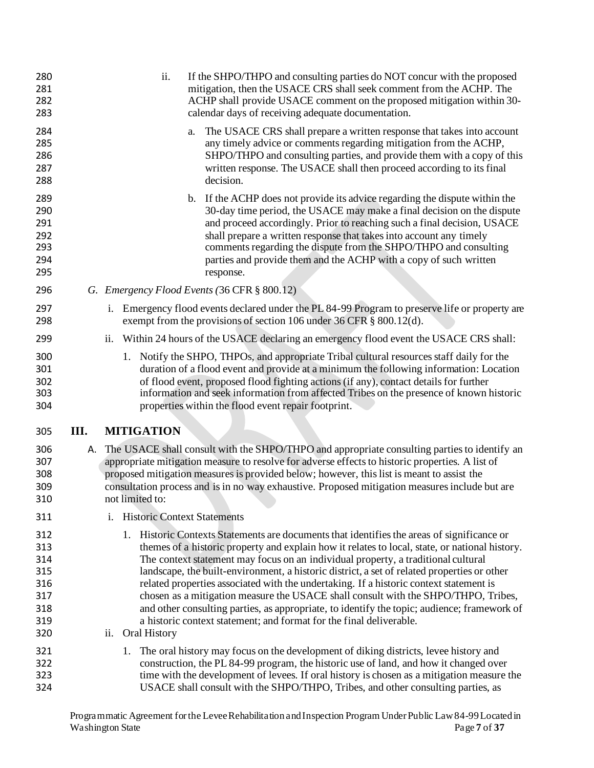| 280<br>281<br>282<br>283                                    |      |    | ii.                            |    | If the SHPO/THPO and consulting parties do NOT concur with the proposed<br>mitigation, then the USACE CRS shall seek comment from the ACHP. The<br>ACHP shall provide USACE comment on the proposed mitigation within 30-<br>calendar days of receiving adequate documentation.                                                                                                                                                                                                                                                                                                                                                                                                                                                        |
|-------------------------------------------------------------|------|----|--------------------------------|----|----------------------------------------------------------------------------------------------------------------------------------------------------------------------------------------------------------------------------------------------------------------------------------------------------------------------------------------------------------------------------------------------------------------------------------------------------------------------------------------------------------------------------------------------------------------------------------------------------------------------------------------------------------------------------------------------------------------------------------------|
| 284<br>285<br>286<br>287<br>288                             |      |    |                                | a. | The USACE CRS shall prepare a written response that takes into account<br>any timely advice or comments regarding mitigation from the ACHP,<br>SHPO/THPO and consulting parties, and provide them with a copy of this<br>written response. The USACE shall then proceed according to its final<br>decision.                                                                                                                                                                                                                                                                                                                                                                                                                            |
| 289<br>290<br>291<br>292<br>293<br>294<br>295               |      |    |                                |    | b. If the ACHP does not provide its advice regarding the dispute within the<br>30-day time period, the USACE may make a final decision on the dispute<br>and proceed accordingly. Prior to reaching such a final decision, USACE<br>shall prepare a written response that takes into account any timely<br>comments regarding the dispute from the SHPO/THPO and consulting<br>parties and provide them and the ACHP with a copy of such written<br>response.                                                                                                                                                                                                                                                                          |
| 296                                                         |      |    |                                |    | G. Emergency Flood Events (36 CFR § 800.12)                                                                                                                                                                                                                                                                                                                                                                                                                                                                                                                                                                                                                                                                                            |
| 297<br>298                                                  |      | i. |                                |    | Emergency flood events declared under the PL 84-99 Program to preserve life or property are<br>exempt from the provisions of section 106 under 36 CFR § 800.12(d).                                                                                                                                                                                                                                                                                                                                                                                                                                                                                                                                                                     |
| 299                                                         |      |    |                                |    | ii. Within 24 hours of the USACE declaring an emergency flood event the USACE CRS shall:                                                                                                                                                                                                                                                                                                                                                                                                                                                                                                                                                                                                                                               |
| 300<br>301<br>302<br>303<br>304                             |      |    |                                |    | 1. Notify the SHPO, THPOs, and appropriate Tribal cultural resources staff daily for the<br>duration of a flood event and provide at a minimum the following information: Location<br>of flood event, proposed flood fighting actions (if any), contact details for further<br>information and seek information from affected Tribes on the presence of known historic<br>properties within the flood event repair footprint.                                                                                                                                                                                                                                                                                                          |
| 305                                                         | III. |    | <b>MITIGATION</b>              |    |                                                                                                                                                                                                                                                                                                                                                                                                                                                                                                                                                                                                                                                                                                                                        |
| 306<br>307<br>308<br>309<br>310                             | А.   |    | not limited to:                |    | The USACE shall consult with the SHPO/THPO and appropriate consulting parties to identify an<br>appropriate mitigation measure to resolve for adverse effects to historic properties. A list of<br>proposed mitigation measures is provided below; however, this list is meant to assist the<br>consultation process and is in no way exhaustive. Proposed mitigation measures include but are                                                                                                                                                                                                                                                                                                                                         |
| 311                                                         |      |    | i. Historic Context Statements |    |                                                                                                                                                                                                                                                                                                                                                                                                                                                                                                                                                                                                                                                                                                                                        |
| 312<br>313<br>314<br>315<br>316<br>317<br>318<br>319<br>320 |      |    | ii. Oral History               |    | 1. Historic Contexts Statements are documents that identifies the areas of significance or<br>themes of a historic property and explain how it relates to local, state, or national history.<br>The context statement may focus on an individual property, a traditional cultural<br>landscape, the built-environment, a historic district, a set of related properties or other<br>related properties associated with the undertaking. If a historic context statement is<br>chosen as a mitigation measure the USACE shall consult with the SHPO/THPO, Tribes,<br>and other consulting parties, as appropriate, to identify the topic; audience; framework of<br>a historic context statement; and format for the final deliverable. |
| 321<br>322<br>323<br>324                                    |      | 1. |                                |    | The oral history may focus on the development of diking districts, levee history and<br>construction, the PL 84-99 program, the historic use of land, and how it changed over<br>time with the development of levees. If oral history is chosen as a mitigation measure the<br>USACE shall consult with the SHPO/THPO, Tribes, and other consulting parties, as                                                                                                                                                                                                                                                                                                                                                                        |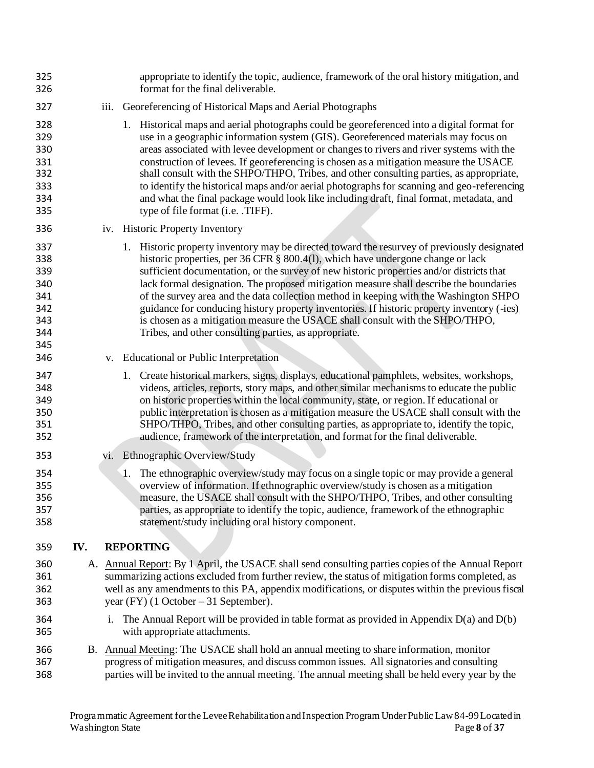| 325<br>326                                                  |     |    | appropriate to identify the topic, audience, framework of the oral history mitigation, and<br>format for the final deliverable.                                                                                                                                                                                                                                                                                                                                                                                                                                                                                                                                                                       |
|-------------------------------------------------------------|-----|----|-------------------------------------------------------------------------------------------------------------------------------------------------------------------------------------------------------------------------------------------------------------------------------------------------------------------------------------------------------------------------------------------------------------------------------------------------------------------------------------------------------------------------------------------------------------------------------------------------------------------------------------------------------------------------------------------------------|
| 327                                                         |     |    | iii. Georeferencing of Historical Maps and Aerial Photographs                                                                                                                                                                                                                                                                                                                                                                                                                                                                                                                                                                                                                                         |
| 328<br>329<br>330<br>331<br>332<br>333<br>334<br>335        |     |    | 1. Historical maps and aerial photographs could be georeferenced into a digital format for<br>use in a geographic information system (GIS). Georeferenced materials may focus on<br>areas associated with levee development or changes to rivers and river systems with the<br>construction of levees. If georeferencing is chosen as a mitigation measure the USACE<br>shall consult with the SHPO/THPO, Tribes, and other consulting parties, as appropriate,<br>to identify the historical maps and/or aerial photographs for scanning and geo-referencing<br>and what the final package would look like including draft, final format, metadata, and<br>type of file format (i.e. .TIFF).         |
| 336                                                         |     |    | iv. Historic Property Inventory                                                                                                                                                                                                                                                                                                                                                                                                                                                                                                                                                                                                                                                                       |
| 337<br>338<br>339<br>340<br>341<br>342<br>343<br>344<br>345 |     |    | 1. Historic property inventory may be directed toward the resurvey of previously designated<br>historic properties, per 36 CFR § 800.4(1), which have undergone change or lack<br>sufficient documentation, or the survey of new historic properties and/or districts that<br>lack formal designation. The proposed mitigation measure shall describe the boundaries<br>of the survey area and the data collection method in keeping with the Washington SHPO<br>guidance for conducing history property inventories. If historic property inventory (-ies)<br>is chosen as a mitigation measure the USACE shall consult with the SHPO/THPO,<br>Tribes, and other consulting parties, as appropriate. |
| 346                                                         |     |    | v. Educational or Public Interpretation                                                                                                                                                                                                                                                                                                                                                                                                                                                                                                                                                                                                                                                               |
| 347<br>348<br>349<br>350<br>351<br>352                      |     |    | 1. Create historical markers, signs, displays, educational pamphlets, websites, workshops,<br>videos, articles, reports, story maps, and other similar mechanisms to educate the public<br>on historic properties within the local community, state, or region. If educational or<br>public interpretation is chosen as a mitigation measure the USACE shall consult with the<br>SHPO/THPO, Tribes, and other consulting parties, as appropriate to, identify the topic,<br>audience, framework of the interpretation, and format for the final deliverable.                                                                                                                                          |
| 353                                                         |     |    | vi. Ethnographic Overview/Study                                                                                                                                                                                                                                                                                                                                                                                                                                                                                                                                                                                                                                                                       |
| 354<br>355<br>356<br>357<br>358                             |     |    | The ethnographic overview/study may focus on a single topic or may provide a general<br>1.<br>overview of information. If ethnographic overview/study is chosen as a mitigation<br>measure, the USACE shall consult with the SHPO/THPO, Tribes, and other consulting<br>parties, as appropriate to identify the topic, audience, framework of the ethnographic<br>statement/study including oral history component.                                                                                                                                                                                                                                                                                   |
| 359                                                         | IV. |    | <b>REPORTING</b>                                                                                                                                                                                                                                                                                                                                                                                                                                                                                                                                                                                                                                                                                      |
| 360<br>361<br>362<br>363                                    |     |    | A. Annual Report: By 1 April, the USACE shall send consulting parties copies of the Annual Report<br>summarizing actions excluded from further review, the status of mitigation forms completed, as<br>well as any amendments to this PA, appendix modifications, or disputes within the previous fiscal<br>year (FY) $(1$ October – 31 September).                                                                                                                                                                                                                                                                                                                                                   |
| 364<br>365                                                  |     | 1. | The Annual Report will be provided in table format as provided in Appendix $D(a)$ and $D(b)$<br>with appropriate attachments.                                                                                                                                                                                                                                                                                                                                                                                                                                                                                                                                                                         |
| 366<br>367<br>368                                           |     |    | B. Annual Meeting: The USACE shall hold an annual meeting to share information, monitor<br>progress of mitigation measures, and discuss common issues. All signatories and consulting<br>parties will be invited to the annual meeting. The annual meeting shall be held every year by the                                                                                                                                                                                                                                                                                                                                                                                                            |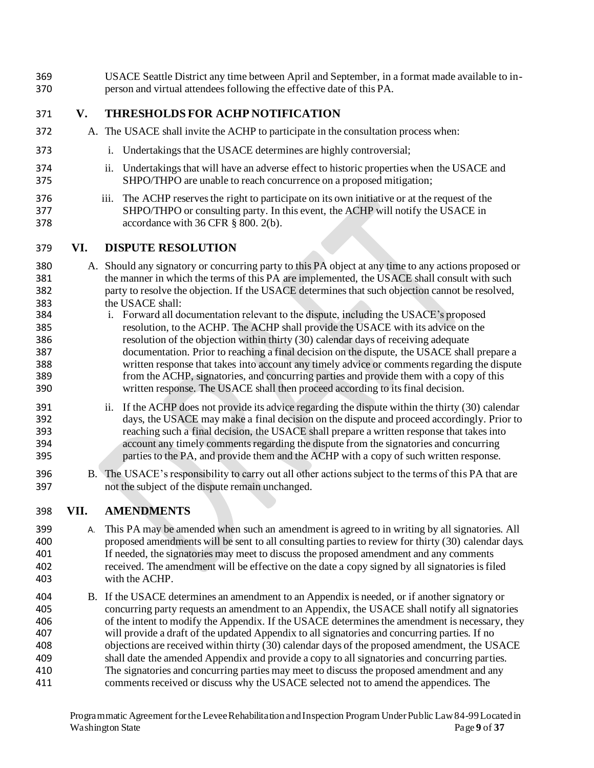- USACE Seattle District any time between April and September, in a format made available to in- person and virtual attendees following the effective date of this PA.
- **V. THRESHOLDS FOR ACHP NOTIFICATION**
- A. The USACE shall invite the ACHP to participate in the consultation process when:
- i. Undertakings that the USACE determines are highly controversial;
- ii. Undertakings that will have an adverse effect to historic properties when the USACE and SHPO/THPO are unable to reach concurrence on a proposed mitigation;
- iii. The ACHP reserves the right to participate on its own initiative or at the request of the SHPO/THPO or consulting party. In this event, the ACHP will notify the USACE in **accordance with 36 CFR § 800. 2(b).**

#### **VI. DISPUTE RESOLUTION**

- A. Should any signatory or concurring party to this PA object at any time to any actions proposed or 381 the manner in which the terms of this PA are implemented, the USACE shall consult with such party to resolve the objection. If the USACE determines that such objection cannot be resolved, the USACE shall:
- i. Forward all documentation relevant to the dispute, including the USACE's proposed resolution, to the ACHP. The ACHP shall provide the USACE with its advice on the resolution of the objection within thirty (30) calendar days of receiving adequate documentation. Prior to reaching a final decision on the dispute, the USACE shall prepare a written response that takes into account any timely advice or comments regarding the dispute from the ACHP, signatories, and concurring parties and provide them with a copy of this written response. The USACE shall then proceed according to its final decision.
- 391 ii. If the ACHP does not provide its advice regarding the dispute within the thirty (30) calendar days, the USACE may make a final decision on the dispute and proceed accordingly. Prior to reaching such a final decision, the USACE shall prepare a written response that takes into account any timely comments regarding the dispute from the signatories and concurring parties to the PA, and provide them and the ACHP with a copy of such written response.
- 396 B. The USACE's responsibility to carry out all other actions subject to the terms of this PA that are not the subject of the dispute remain unchanged.

## **VII. AMENDMENTS**

- A. This PA may be amended when such an amendment is agreed to in writing by all signatories. All proposed amendments will be sent to all consulting parties to review for thirty (30) calendar days. If needed, the signatories may meet to discuss the proposed amendment and any comments received. The amendment will be effective on the date a copy signed by all signatories is filed with the ACHP.
- B. If the USACE determines an amendment to an Appendix is needed, or if another signatory or concurring party requests an amendment to an Appendix, the USACE shall notify all signatories 406 of the intent to modify the Appendix. If the USACE determines the amendment is necessary, they will provide a draft of the updated Appendix to all signatories and concurring parties. If no objections are received within thirty (30) calendar days of the proposed amendment, the USACE shall date the amended Appendix and provide a copy to all signatories and concurring parties. The signatories and concurring parties may meet to discuss the proposed amendment and any comments received or discuss why the USACE selected not to amend the appendices. The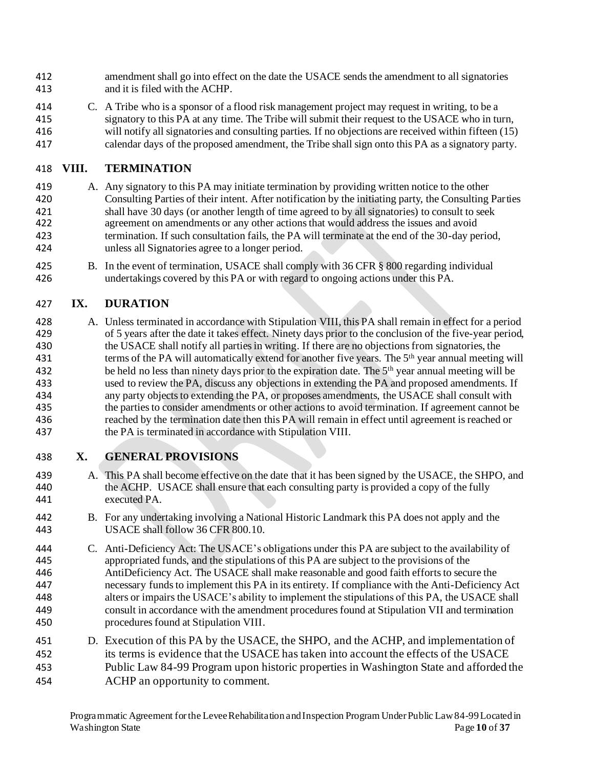- amendment shall go into effect on the date the USACE sends the amendment to all signatories and it is filed with the ACHP.
- C. A Tribe who is a sponsor of a flood risk management project may request in writing, to be a signatory to this PA at any time. The Tribe will submit their request to the USACE who in turn, will notify all signatories and consulting parties. If no objections are received within fifteen (15) calendar days of the proposed amendment, the Tribe shall sign onto this PA as a signatory party.

# **VIII. TERMINATION**

- A. Any signatory to this PA may initiate termination by providing written notice to the other Consulting Parties of their intent. After notification by the initiating party, the Consulting Parties shall have 30 days (or another length of time agreed to by all signatories) to consult to seek agreement on amendments or any other actions that would address the issues and avoid termination. If such consultation fails, the PA will terminate at the end of the 30-day period, unless all Signatories agree to a longer period.
- B. In the event of termination, USACE shall comply with 36 CFR § 800 regarding individual undertakings covered by this PA or with regard to ongoing actions under this PA.

# **IX. DURATION**

 A. Unless terminated in accordance with Stipulation VIII, this PA shall remain in effect for a period of 5 years after the date it takes effect. Ninety days prior to the conclusion of the five-year period, the USACE shall notify all parties in writing. If there are no objections from signatories, the 431 terms of the PA will automatically extend for another five years. The 5<sup>th</sup> year annual meeting will 432 be held no less than ninety days prior to the expiration date. The 5<sup>th</sup> year annual meeting will be used to review the PA, discuss any objections in extending the PA and proposed amendments. If any party objects to extending the PA, or proposes amendments, the USACE shall consult with the parties to consider amendments or other actions to avoid termination. If agreement cannot be reached by the termination date then this PA will remain in effect until agreement is reached or the PA is terminated in accordance with Stipulation VIII.

# **X. GENERAL PROVISIONS**

- A. This PA shall become effective on the date that it has been signed by the USACE, the SHPO, and the ACHP. USACE shall ensure that each consulting party is provided a copy of the fully executed PA.
- B. For any undertaking involving a National Historic Landmark this PA does not apply and the USACE shall follow 36 CFR 800.10.
- C. Anti-Deficiency Act: The USACE's obligations under this PA are subject to the availability of appropriated funds, and the stipulations of this PA are subject to the provisions of the AntiDeficiency Act. The USACE shall make reasonable and good faith efforts to secure the necessary funds to implement this PA in its entirety. If compliance with the Anti-Deficiency Act alters or impairs the USACE's ability to implement the stipulations of this PA, the USACE shall consult in accordance with the amendment procedures found at Stipulation VII and termination procedures found at Stipulation VIII.
- 451 D. Execution of this PA by the USACE, the SHPO, and the ACHP, and implementation of its terms is evidence that the USACE has taken into account the effects of the USACE Public Law 84-99 Program upon historic properties in Washington State and afforded the ACHP an opportunity to comment.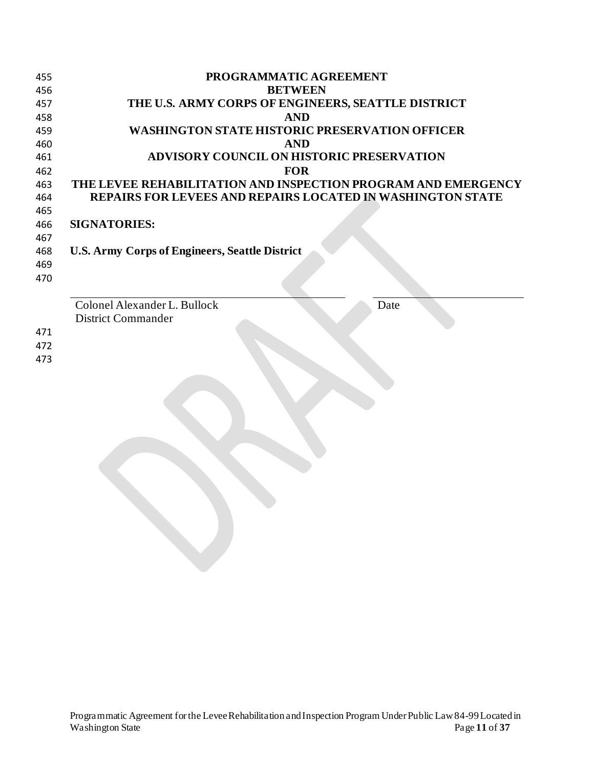| 455 | PROGRAMMATIC AGREEMENT                                            |
|-----|-------------------------------------------------------------------|
| 456 | <b>BETWEEN</b>                                                    |
| 457 | THE U.S. ARMY CORPS OF ENGINEERS, SEATTLE DISTRICT                |
| 458 | <b>AND</b>                                                        |
| 459 | WASHINGTON STATE HISTORIC PRESERVATION OFFICER                    |
| 460 | <b>AND</b>                                                        |
| 461 | <b>ADVISORY COUNCIL ON HISTORIC PRESERVATION</b>                  |
| 462 | <b>FOR</b>                                                        |
| 463 | THE LEVEE REHABILITATION AND INSPECTION PROGRAM AND EMERGENCY     |
| 464 | <b>REPAIRS FOR LEVEES AND REPAIRS LOCATED IN WASHINGTON STATE</b> |
| 465 |                                                                   |
| 466 | <b>SIGNATORIES:</b>                                               |
| 467 |                                                                   |
| 468 | <b>U.S. Army Corps of Engineers, Seattle District</b>             |
| 469 |                                                                   |
| 470 |                                                                   |
|     |                                                                   |
|     | Colonel Alexander L. Bullock<br>Date                              |
|     | <b>District Commander</b>                                         |
| 471 |                                                                   |
| 472 |                                                                   |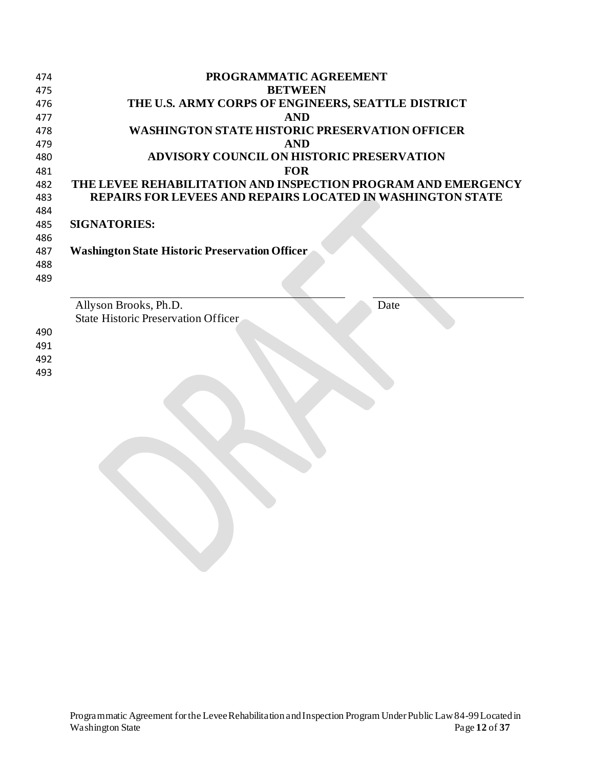| 474 | PROGRAMMATIC AGREEMENT                                            |  |  |  |  |  |  |
|-----|-------------------------------------------------------------------|--|--|--|--|--|--|
| 475 | <b>BETWEEN</b>                                                    |  |  |  |  |  |  |
| 476 | THE U.S. ARMY CORPS OF ENGINEERS, SEATTLE DISTRICT                |  |  |  |  |  |  |
| 477 | <b>AND</b>                                                        |  |  |  |  |  |  |
| 478 | WASHINGTON STATE HISTORIC PRESERVATION OFFICER                    |  |  |  |  |  |  |
| 479 | <b>AND</b>                                                        |  |  |  |  |  |  |
| 480 | <b>ADVISORY COUNCIL ON HISTORIC PRESERVATION</b>                  |  |  |  |  |  |  |
| 481 | <b>FOR</b>                                                        |  |  |  |  |  |  |
| 482 | THE LEVEE REHABILITATION AND INSPECTION PROGRAM AND EMERGENCY     |  |  |  |  |  |  |
| 483 | <b>REPAIRS FOR LEVEES AND REPAIRS LOCATED IN WASHINGTON STATE</b> |  |  |  |  |  |  |
| 484 |                                                                   |  |  |  |  |  |  |
| 485 | <b>SIGNATORIES:</b>                                               |  |  |  |  |  |  |
| 486 |                                                                   |  |  |  |  |  |  |
| 487 | <b>Washington State Historic Preservation Officer</b>             |  |  |  |  |  |  |
| 488 |                                                                   |  |  |  |  |  |  |
| 489 |                                                                   |  |  |  |  |  |  |
|     |                                                                   |  |  |  |  |  |  |
|     | Allyson Brooks, Ph.D.<br>Date                                     |  |  |  |  |  |  |
|     | <b>State Historic Preservation Officer</b>                        |  |  |  |  |  |  |
| 490 |                                                                   |  |  |  |  |  |  |
| 491 |                                                                   |  |  |  |  |  |  |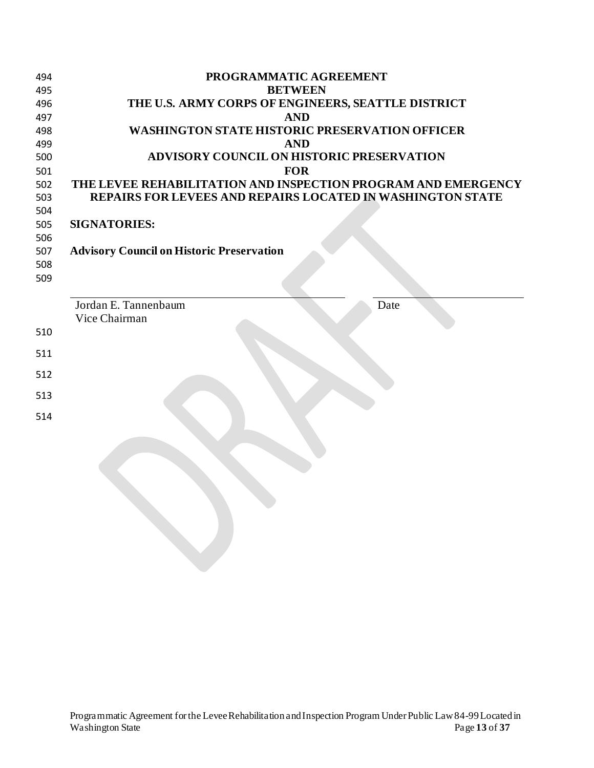| 494 | PROGRAMMATIC AGREEMENT                                            |
|-----|-------------------------------------------------------------------|
| 495 | <b>BETWEEN</b>                                                    |
| 496 | THE U.S. ARMY CORPS OF ENGINEERS, SEATTLE DISTRICT                |
| 497 | <b>AND</b>                                                        |
| 498 | <b>WASHINGTON STATE HISTORIC PRESERVATION OFFICER</b>             |
| 499 | <b>AND</b>                                                        |
| 500 | <b>ADVISORY COUNCIL ON HISTORIC PRESERVATION</b>                  |
| 501 | <b>FOR</b>                                                        |
| 502 | THE LEVEE REHABILITATION AND INSPECTION PROGRAM AND EMERGENCY     |
| 503 | <b>REPAIRS FOR LEVEES AND REPAIRS LOCATED IN WASHINGTON STATE</b> |
| 504 |                                                                   |
| 505 | <b>SIGNATORIES:</b>                                               |
| 506 |                                                                   |
| 507 | <b>Advisory Council on Historic Preservation</b>                  |
| 508 |                                                                   |
| 509 |                                                                   |
|     |                                                                   |
|     | Jordan E. Tannenbaum<br>Date                                      |
|     | Vice Chairman                                                     |
| 510 |                                                                   |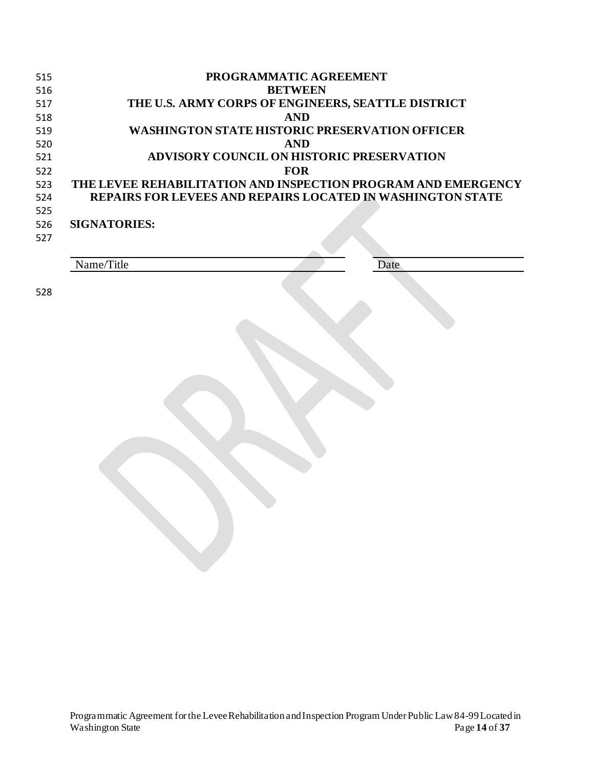| 515               | PROGRAMMATIC AGREEMENT                                                                                                      |  |  |  |  |  |
|-------------------|-----------------------------------------------------------------------------------------------------------------------------|--|--|--|--|--|
| 516<br>517        | <b>BETWEEN</b><br>THE U.S. ARMY CORPS OF ENGINEERS, SEATTLE DISTRICT                                                        |  |  |  |  |  |
| 518               | <b>AND</b>                                                                                                                  |  |  |  |  |  |
| 519               | <b>WASHINGTON STATE HISTORIC PRESERVATION OFFICER</b>                                                                       |  |  |  |  |  |
| 520               | <b>AND</b>                                                                                                                  |  |  |  |  |  |
| 521               | ADVISORY COUNCIL ON HISTORIC PRESERVATION                                                                                   |  |  |  |  |  |
| 522               | <b>FOR</b>                                                                                                                  |  |  |  |  |  |
| 523<br>524<br>525 | THE LEVEE REHABILITATION AND INSPECTION PROGRAM AND EMERGENCY<br>REPAIRS FOR LEVEES AND REPAIRS LOCATED IN WASHINGTON STATE |  |  |  |  |  |
| 526               | <b>SIGNATORIES:</b>                                                                                                         |  |  |  |  |  |
| 527               |                                                                                                                             |  |  |  |  |  |
|                   |                                                                                                                             |  |  |  |  |  |
|                   | Name/Title<br>Date                                                                                                          |  |  |  |  |  |
|                   |                                                                                                                             |  |  |  |  |  |
| 528               |                                                                                                                             |  |  |  |  |  |
|                   |                                                                                                                             |  |  |  |  |  |
|                   |                                                                                                                             |  |  |  |  |  |
|                   |                                                                                                                             |  |  |  |  |  |
|                   |                                                                                                                             |  |  |  |  |  |
|                   |                                                                                                                             |  |  |  |  |  |
|                   |                                                                                                                             |  |  |  |  |  |
|                   |                                                                                                                             |  |  |  |  |  |
|                   |                                                                                                                             |  |  |  |  |  |
|                   |                                                                                                                             |  |  |  |  |  |
|                   |                                                                                                                             |  |  |  |  |  |
|                   |                                                                                                                             |  |  |  |  |  |
|                   |                                                                                                                             |  |  |  |  |  |
|                   |                                                                                                                             |  |  |  |  |  |
|                   |                                                                                                                             |  |  |  |  |  |
|                   |                                                                                                                             |  |  |  |  |  |
|                   |                                                                                                                             |  |  |  |  |  |
|                   |                                                                                                                             |  |  |  |  |  |
|                   |                                                                                                                             |  |  |  |  |  |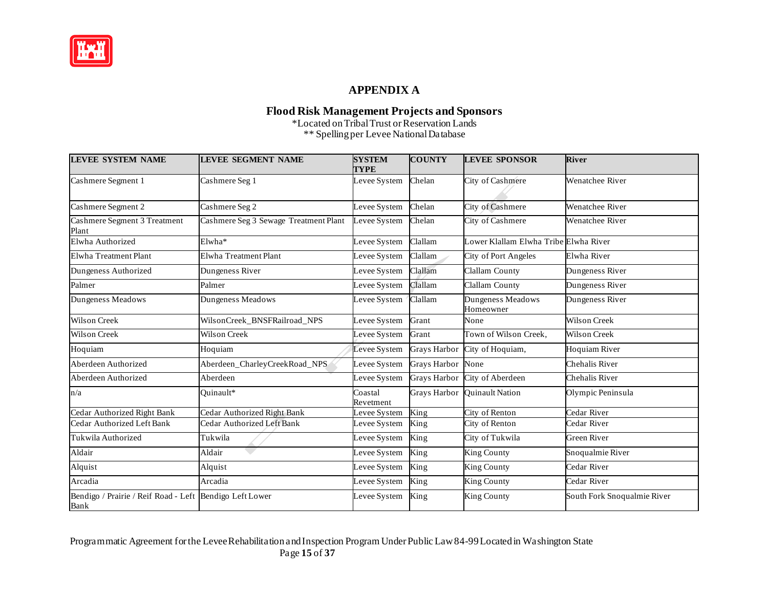

## **APPENDIX A**

#### **Flood Risk Management Projects and Sponsors**

 $\overline{a}$  \*\* Spellingper Levee NationalDatabase \*Located on TribalTrust or Reservation Lands

| <b>LEVEE SYSTEM NAME</b>                                        | <b>LEVEE SEGMENT NAME</b>             | <b>SYSTEM</b><br>TYPE | <b>COUNTY</b> | <b>LEVEE SPONSOR</b>                  | <b>River</b>                |
|-----------------------------------------------------------------|---------------------------------------|-----------------------|---------------|---------------------------------------|-----------------------------|
| Cashmere Segment 1                                              | Cashmere Seg 1                        | Levee System          | Chelan        | City of Cashmere                      | Wenatchee River             |
| Cashmere Segment 2                                              | Cashmere Seg 2                        | Levee System          | Chelan        | City of Cashmere                      | Wenatchee River             |
| Cashmere Segment 3 Treatment<br>Plant                           | Cashmere Seg 3 Sewage Treatment Plant | Levee System          | Chelan        | City of Cashmere                      | Wenatchee River             |
| Elwha Authorized                                                | Elwha <sup>*</sup>                    | Levee System          | Clallam       | Lower Klallam Elwha Tribe Elwha River |                             |
| <b>Elwha Treatment Plant</b>                                    | Elwha Treatment Plant                 | Levee System          | Clallam       | City of Port Angeles                  | Elwha River                 |
| Dungeness Authorized                                            | Dungeness River                       | Levee System          | Clallam       | Clallam County                        | Dungeness River             |
| Palmer                                                          | Palmer                                | Levee System          | Clallam       | Clallam County                        | Dungeness River             |
| Dungeness Meadows                                               | Dungeness Meadows                     | Levee System          | Clallam       | Dungeness Meadows<br>Homeowner        | Dungeness River             |
| <b>Wilson Creek</b>                                             | WilsonCreek_BNSFRailroad_NPS          | Levee System          | Grant         | None                                  | Wilson Creek                |
| <b>Wilson Creek</b>                                             | <b>Wilson Creek</b>                   | Levee System          | Grant         | Town of Wilson Creek,                 | Wilson Creek                |
| Hoquiam                                                         | Hoquiam                               | Levee System          | Grays Harbor  | City of Hoquiam,                      | <b>Hoquiam River</b>        |
| Aberdeen Authorized                                             | Aberdeen_CharleyCreekRoad_NPS         | Levee System          | Grays Harbor  | None                                  | Chehalis River              |
| Aberdeen Authorized                                             | Aberdeen                              | Levee System          | Grays Harbor  | City of Aberdeen                      | Chehalis River              |
| n/a                                                             | Quinault*                             | Coastal<br>Revetment  | Grays Harbor  | <b>Ouinault Nation</b>                | Olympic Peninsula           |
| Cedar Authorized Right Bank                                     | Cedar Authorized Right Bank           | Levee System          | King          | City of Renton                        | Cedar River                 |
| Cedar Authorized Left Bank                                      | Cedar Authorized Left Bank            | Levee System          | King          | City of Renton                        | Cedar River                 |
| Tukwila Authorized                                              | Tukwila                               | Levee System          | King          | City of Tukwila                       | Green River                 |
| Aldair                                                          | Aldair                                | Levee System          | King          | <b>King County</b>                    | Snoqualmie River            |
| Alquist                                                         | Alquist                               | Levee System          | King          | <b>King County</b>                    | Cedar River                 |
| Arcadia                                                         | Arcadia                               | Levee System          | King          | <b>King County</b>                    | Cedar River                 |
| Bendigo / Prairie / Reif Road - Left Bendigo Left Lower<br>Bank |                                       | Levee System          | King          | <b>King County</b>                    | South Fork Snoqualmie River |

 Programmatic Agreement for the LeveeRehabilitation andInspection Program Under Public Law84-99 Located in Washington State Page **15** of **37**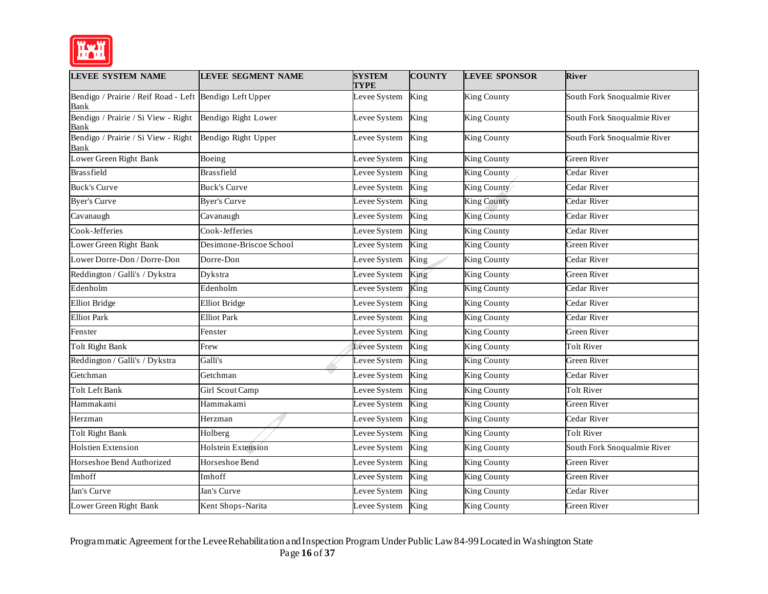

| <b>LEVEE SYSTEM NAME</b>                                        | LEVEE SEGMENT NAME        | <b>SYSTEM</b><br><b>TYPE</b> | <b>COUNTY</b>              | <b>LEVEE SPONSOR</b> | <b>River</b>                |
|-----------------------------------------------------------------|---------------------------|------------------------------|----------------------------|----------------------|-----------------------------|
| Bendigo / Prairie / Reif Road - Left Bendigo Left Upper<br>Bank |                           | Levee System                 | King                       | <b>King County</b>   | South Fork Snoqualmie River |
| Bendigo / Prairie / Si View - Right<br>Bank                     | Bendigo Right Lower       | Levee System                 | King                       | <b>King County</b>   | South Fork Snoqualmie River |
| Bendigo / Prairie / Si View - Right<br>Bank                     | Bendigo Right Upper       | Levee System                 | King                       | <b>King County</b>   | South Fork Snoqualmie River |
| Lower Green Right Bank                                          | Boeing                    | Levee System                 | King                       | <b>King County</b>   | Green River                 |
| <b>Brassfield</b>                                               | <b>Brassfield</b>         | Levee System                 | King                       | <b>King County</b>   | Cedar River                 |
| <b>Buck's Curve</b>                                             | <b>Buck's Curve</b>       | Levee System                 | King                       | King County          | Cedar River                 |
| <b>Byer's Curve</b>                                             | <b>Byer's Curve</b>       | Levee System                 | King                       | <b>King County</b>   | Cedar River                 |
| Cavanaugh                                                       | Cavanaugh                 | Levee System                 | King                       | <b>King County</b>   | Cedar River                 |
| Cook-Jefferies                                                  | Cook-Jefferies            | Levee System                 | King                       | <b>King County</b>   | Cedar River                 |
| Lower Green Right Bank                                          | Desimone-Briscoe School   | Levee System                 | King                       | <b>King County</b>   | Green River                 |
| Lower Dorre-Don / Dorre-Don                                     | Dorre-Don                 | Levee System                 | King                       | King County          | Cedar River                 |
| Reddington / Galli's / Dykstra                                  | Dykstra                   | Levee System                 | King                       | <b>King County</b>   | <b>Green River</b>          |
| Edenholm                                                        | Edenholm                  | Levee System                 | King                       | <b>King County</b>   | Cedar River                 |
| <b>Elliot Bridge</b>                                            | <b>Elliot Bridge</b>      | Levee System                 | King                       | <b>King County</b>   | Cedar River                 |
| <b>Elliot Park</b>                                              | <b>Elliot Park</b>        | Levee System                 | $\overline{\mathrm{King}}$ | <b>King County</b>   | Cedar River                 |
| Fenster                                                         | Fenster                   | Levee System                 | King                       | <b>King County</b>   | Green River                 |
| <b>Tolt Right Bank</b>                                          | Frew                      | Levee System                 | King                       | <b>King County</b>   | <b>Tolt River</b>           |
| Reddington / Galli's / Dykstra                                  | Galli's                   | Levee System                 | King                       | <b>King County</b>   | Green River                 |
| Getchman                                                        | Getchman                  | Levee System                 | King                       | <b>King County</b>   | Cedar River                 |
| Tolt Left Bank                                                  | Girl Scout Camp           | Levee System                 | King                       | King County          | Tolt River                  |
| Hammakami                                                       | Hammakami                 | Levee System                 | King                       | <b>King County</b>   | Green River                 |
| Herzman                                                         | Herzman                   | Levee System                 | King                       | <b>King County</b>   | Cedar River                 |
| <b>Tolt Right Bank</b>                                          | Holberg                   | Levee System                 | King                       | <b>King County</b>   | <b>Tolt River</b>           |
| <b>Holstien Extension</b>                                       | <b>Holstein Extension</b> | Levee System                 | King                       | King County          | South Fork Snoqualmie River |
| Horseshoe Bend Authorized                                       | Horseshoe Bend            | Levee System                 | King                       | King County          | Green River                 |
| Imhoff                                                          | Imhoff                    | Levee System                 | King                       | <b>King County</b>   | Green River                 |
| Jan's Curve                                                     | Jan's Curve               | Levee System                 | King                       | <b>King County</b>   | Cedar River                 |
| Lower Green Right Bank                                          | Kent Shops-Narita         | Levee System                 | King                       | <b>King County</b>   | <b>Green River</b>          |

 Programmatic Agreement for the LeveeRehabilitation andInspection Program Under Public Law84-99 Located in Washington State Page **16** of **37**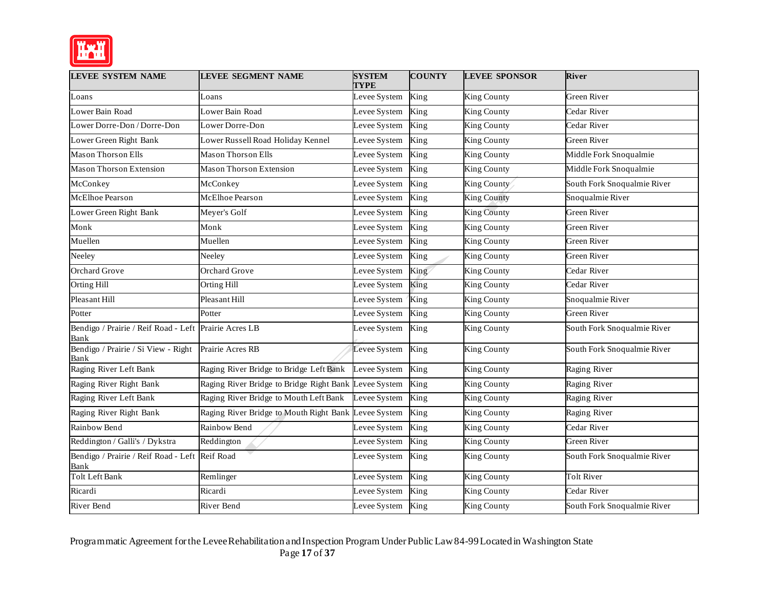

| <b>LEVEE SYSTEM NAME</b>                                      | <b>LEVEE SEGMENT NAME</b>                            | <b>SYSTEM</b><br><b>TYPE</b> | <b>COUNTY</b>            | <b>LEVEE SPONSOR</b> | <b>River</b>                |
|---------------------------------------------------------------|------------------------------------------------------|------------------------------|--------------------------|----------------------|-----------------------------|
| Loans                                                         | Loans                                                | Levee System                 | King                     | <b>King County</b>   | Green River                 |
| Lower Bain Road                                               | Lower Bain Road                                      | Levee System                 | King                     | King County          | Cedar River                 |
| Lower Dorre-Don / Dorre-Don                                   | Lower Dorre-Don                                      | Levee System                 | King                     | King County          | Cedar River                 |
| Lower Green Right Bank                                        | Lower Russell Road Holiday Kennel                    | Levee System                 | King                     | King County          | Green River                 |
| <b>Mason Thorson Ells</b>                                     | Mason Thorson Ells                                   | Levee System                 | King                     | <b>King County</b>   | Middle Fork Snoqualmie      |
| <b>Mason Thorson Extension</b>                                | <b>Mason Thorson Extension</b>                       | Levee System                 | King                     | <b>King County</b>   | Middle Fork Snoqualmie      |
| McConkey                                                      | McConkey                                             | Levee System                 | King                     | King County          | South Fork Snoqualmie River |
| <b>McElhoe Pearson</b>                                        | McElhoe Pearson                                      | Levee System                 | King                     | <b>King County</b>   | Snoqualmie River            |
| Lower Green Right Bank                                        | Meyer's Golf                                         | Levee System                 | King                     | <b>King County</b>   | Green River                 |
| Monk                                                          | Monk                                                 | Levee System                 | King                     | King County          | Green River                 |
| Muellen                                                       | Muellen                                              | Levee System                 | King                     | King County          | Green River                 |
| Neeley                                                        | Neeley                                               | Levee System                 | King                     | <b>King County</b>   | Green River                 |
| <b>Orchard Grove</b>                                          | <b>Orchard Grove</b>                                 | Levee System                 | King                     | King County          | Cedar River                 |
| <b>Orting Hill</b>                                            | Orting Hill                                          | Levee System                 | King                     | King County          | Cedar River                 |
| Pleasant Hill                                                 | Pleasant Hill                                        | Levee System                 | King                     | King County          | Snoqualmie River            |
| Potter                                                        | Potter                                               | Levee System                 | King                     | King County          | Green River                 |
| Bendigo / Prairie / Reif Road - Left Prairie Acres LB<br>Bank |                                                      | Levee System                 | King                     | <b>King County</b>   | South Fork Snoqualmie River |
| Bendigo / Prairie / Si View - Right<br>Bank                   | Prairie Acres RB                                     | Levee System                 | King                     | <b>King County</b>   | South Fork Snoqualmie River |
| Raging River Left Bank                                        | Raging River Bridge to Bridge Left Bank              | Levee System                 | King                     | King County          | Raging River                |
| Raging River Right Bank                                       | Raging River Bridge to Bridge Right Bank             | Levee System                 | King                     | King County          | Raging River                |
| Raging River Left Bank                                        | Raging River Bridge to Mouth Left Bank               | Levee System                 | $\overline{\text{King}}$ | <b>King County</b>   | Raging River                |
| Raging River Right Bank                                       | Raging River Bridge to Mouth Right Bank Levee System |                              | King                     | King County          | Raging River                |
| Rainbow Bend                                                  | Rainbow Bend                                         | Levee System                 | King                     | <b>King County</b>   | Cedar River                 |
| Reddington / Galli's / Dykstra                                | Reddington                                           | Levee System                 | King                     | <b>King County</b>   | Green River                 |
| Bendigo / Prairie / Reif Road - Left<br>Bank                  | Reif Road                                            | Levee System                 | King                     | King County          | South Fork Snoqualmie River |
| <b>Tolt Left Bank</b>                                         | Remlinger                                            | Levee System                 | King                     | <b>King County</b>   | <b>Tolt River</b>           |
| Ricardi                                                       | Ricardi                                              | Levee System                 | King                     | King County          | Cedar River                 |
| River Bend                                                    | River Bend                                           | Levee System King            |                          | <b>King County</b>   | South Fork Snoqualmie River |

 Programmatic Agreement for the LeveeRehabilitation andInspection Program Under Public Law84-99 Located in Washington State Page **17** of **37**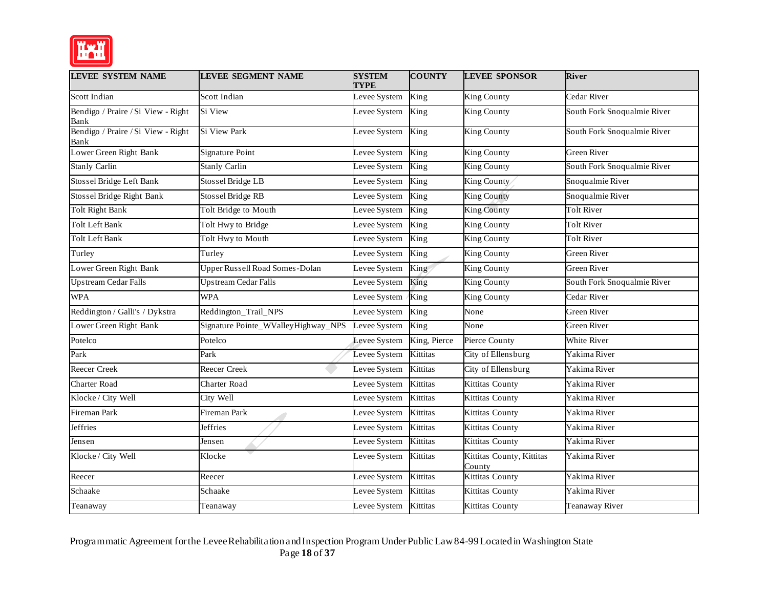

| <b>LEVEE SYSTEM NAME</b>                   | <b>LEVEE SEGMENT NAME</b>           | <b>SYSTEM</b><br><b>TYPE</b> | <b>COUNTY</b>              | <b>LEVEE SPONSOR</b>                | <b>River</b>                |
|--------------------------------------------|-------------------------------------|------------------------------|----------------------------|-------------------------------------|-----------------------------|
| <b>Scott Indian</b>                        | Scott Indian                        | Levee System                 | King                       | King County                         | Cedar River                 |
| Bendigo / Praire / Si View - Right<br>Bank | Si View                             | Levee System                 | King                       | King County                         | South Fork Snoqualmie River |
| Bendigo / Praire / Si View - Right<br>Bank | <b>Si View Park</b>                 | Levee System                 | King                       | King County                         | South Fork Snoqualmie River |
| Lower Green Right Bank                     | Signature Point                     | Levee System                 | King                       | King County                         | Green River                 |
| <b>Stanly Carlin</b>                       | <b>Stanly Carlin</b>                | Levee System                 | $\overline{\mathrm{King}}$ | <b>King County</b>                  | South Fork Snoqualmie River |
| Stossel Bridge Left Bank                   | <b>Stossel Bridge LB</b>            | Levee System                 | King                       | King County                         | Snoqualmie River            |
| Stossel Bridge Right Bank                  | Stossel Bridge RB                   | Levee System                 | King                       | <b>King County</b>                  | Snoqualmie River            |
| <b>Tolt Right Bank</b>                     | Tolt Bridge to Mouth                | Levee System                 | $\overline{\mathrm{King}}$ | <b>King County</b>                  | <b>Tolt River</b>           |
| Tolt Left Bank                             | Tolt Hwy to Bridge                  | Levee System                 | King                       | King County                         | Tolt River                  |
| <b>Tolt Left Bank</b>                      | Tolt Hwy to Mouth                   | Levee System                 | King                       | <b>King County</b>                  | <b>Tolt River</b>           |
| Turley                                     | Turley                              | Levee System                 | King                       | King County                         | Green River                 |
| Lower Green Right Bank                     | Upper Russell Road Somes-Dolan      | Levee System                 | King                       | <b>King County</b>                  | Green River                 |
| <b>Upstream Cedar Falls</b>                | <b>Upstream Cedar Falls</b>         | Levee System                 | King                       | <b>King County</b>                  | South Fork Snoqualmie River |
| <b>WPA</b>                                 | <b>WPA</b>                          | Levee System                 | King                       | King County                         | Cedar River                 |
| Reddington / Galli's / Dykstra             | Reddington_Trail_NPS                | Levee System                 | King                       | None                                | Green River                 |
| Lower Green Right Bank                     | Signature Pointe_WValleyHighway_NPS | Levee System                 | King                       | None                                | Green River                 |
| Potelco                                    | Potelco                             | Levee System                 | King, Pierce               | Pierce County                       | White River                 |
| Park                                       | Park                                | Levee System                 | Kittitas                   | City of Ellensburg                  | Yakima River                |
| Reecer Creek                               | Reecer Creek                        | Levee System                 | Kittitas                   | City of Ellensburg                  | Yakima River                |
| <b>Charter Road</b>                        | Charter Road                        | Levee System                 | Kittitas                   | Kittitas County                     | Yakima River                |
| Klocke / City Well                         | City Well                           | Levee System                 | Kittitas                   | <b>Kittitas County</b>              | Yakima River                |
| <b>Fireman Park</b>                        | Fireman Park                        | Levee System                 | Kittitas                   | Kittitas County                     | Yakima River                |
| <b>Jeffries</b>                            | <b>Jeffries</b>                     | Levee System                 | Kittitas                   | Kittitas County                     | Yakima River                |
| Jensen                                     | Jensen                              | Levee System                 | Kittitas                   | <b>Kittitas County</b>              | Yakima River                |
| Klocke / City Well                         | Klocke                              | Levee System                 | Kittitas                   | Kittitas County, Kittitas<br>County | Yakima River                |
| Reecer                                     | Reecer                              | Levee System                 | Kittitas                   | <b>Kittitas County</b>              | Yakima River                |
| Schaake                                    | Schaake                             | Levee System                 | Kittitas                   | Kittitas County                     | Yakima River                |
| Teanaway                                   | Teanaway                            | Levee System                 | Kittitas                   | <b>Kittitas County</b>              | <b>Teanaway River</b>       |

 Programmatic Agreement for the LeveeRehabilitation andInspection Program Under Public Law84-99 Located in Washington State Page **18** of **37**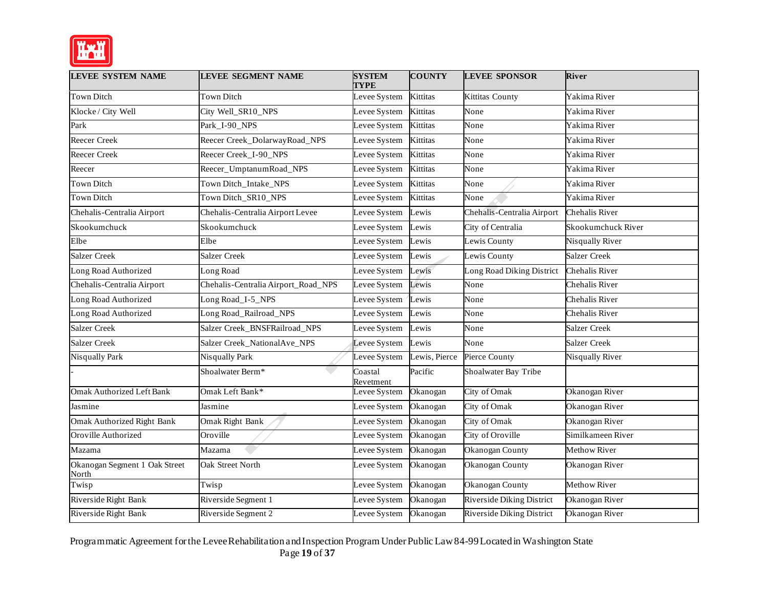

| <b>LEVEE SYSTEM NAME</b>               | <b>LEVEE SEGMENT NAME</b>           | <b>SYSTEM</b><br><b>TYPE</b> | <b>COUNTY</b>   | <b>LEVEE SPONSOR</b>             | <b>River</b>           |
|----------------------------------------|-------------------------------------|------------------------------|-----------------|----------------------------------|------------------------|
| <b>Town Ditch</b>                      | Town Ditch                          | Levee System                 | <b>Kittitas</b> | Kittitas County                  | Yakima River           |
| Klocke / City Well                     | City Well_SR10_NPS                  | Levee System                 | Kittitas        | None                             | Yakima River           |
| Park                                   | Park_I-90_NPS                       | Levee System                 | Kittitas        | None                             | Yakima River           |
| Reecer Creek                           | Reecer Creek_DolarwayRoad_NPS       | Levee System                 | <b>Kittitas</b> | None                             | Yakima River           |
| <b>Reecer Creek</b>                    | Reecer Creek_I-90_NPS               | Levee System                 | Kittitas        | None                             | Yakima River           |
| Reecer                                 | Reecer_UmptanumRoad_NPS             | Levee System                 | Kittitas        | None                             | Yakima River           |
| <b>Town Ditch</b>                      | Town Ditch_Intake_NPS               | Levee System                 | Kittitas        | None                             | Yakima River           |
| Town Ditch                             | Town Ditch_SR10_NPS                 | Levee System                 | Kittitas        | None                             | Yakima River           |
| Chehalis-Centralia Airport             | Chehalis-Centralia Airport Levee    | Levee System                 | Lewis           | Chehalis-Centralia Airport       | Chehalis River         |
| Skookumchuck                           | Skookumchuck                        | Levee System                 | Lewis           | City of Centralia                | Skookumchuck River     |
| Elbe                                   | Elbe                                | Levee System                 | Lewis           | Lewis County                     | Nisqually River        |
| <b>Salzer Creek</b>                    | <b>Salzer Creek</b>                 | Levee System                 | Lewis           | Lewis County                     | <b>Salzer Creek</b>    |
| Long Road Authorized                   | Long Road                           | Levee System                 | Lewis           | Long Road Diking District        | Chehalis River         |
| Chehalis-Centralia Airport             | Chehalis-Centralia Airport_Road_NPS | Levee System                 | Lewis           | None                             | Chehalis River         |
| Long Road Authorized                   | Long Road_I-5_NPS                   | Levee System                 | Lewis           | None                             | Chehalis River         |
| Long Road Authorized                   | Long Road_Railroad_NPS              | Levee System                 | Lewis           | None                             | Chehalis River         |
| <b>Salzer Creek</b>                    | Salzer Creek_BNSFRailroad_NPS       | Levee System                 | Lewis           | None                             | <b>Salzer Creek</b>    |
| <b>Salzer Creek</b>                    | Salzer Creek_NationalAve_NPS        | Levee System                 | Lewis           | None                             | Salzer Creek           |
| <b>Nisqually Park</b>                  | <b>Nisqually Park</b>               | Levee System                 | Lewis, Pierce   | Pierce County                    | <b>Nisqually River</b> |
|                                        | Shoalwater Berm*                    | Coastal<br>Revetment         | Pacific         | Shoalwater Bay Tribe             |                        |
| <b>Omak Authorized Left Bank</b>       | Omak Left Bank*                     | Levee System                 | Okanogan        | City of Omak                     | Okanogan River         |
| Jasmine                                | Jasmine                             | Levee System                 | Okanogan        | City of Omak                     | Okanogan River         |
| <b>Omak Authorized Right Bank</b>      | Omak Right Bank                     | Levee System                 | Okanogan        | City of Omak                     | Okanogan River         |
| Oroville Authorized                    | Oroville                            | Levee System                 | Okanogan        | City of Oroville                 | Similkameen River      |
| Mazama                                 | Mazama                              | Levee System                 | Okanogan        | Okanogan County                  | Methow River           |
| Okanogan Segment 1 Oak Street<br>North | Oak Street North                    | Levee System                 | Okanogan        | Okanogan County                  | Okanogan River         |
| Twisp                                  | Twisp                               | Levee System                 | Okanogan        | Okanogan County                  | Methow River           |
| Riverside Right Bank                   | Riverside Segment 1                 | Levee System                 | Okanogan        | Riverside Diking District        | Okanogan River         |
| Riverside Right Bank                   | Riverside Segment 2                 | Levee System                 | Okanogan        | <b>Riverside Diking District</b> | Okanogan River         |

 Programmatic Agreement for the LeveeRehabilitation andInspection Program Under Public Law84-99 Located in Washington State Page **19** of **37**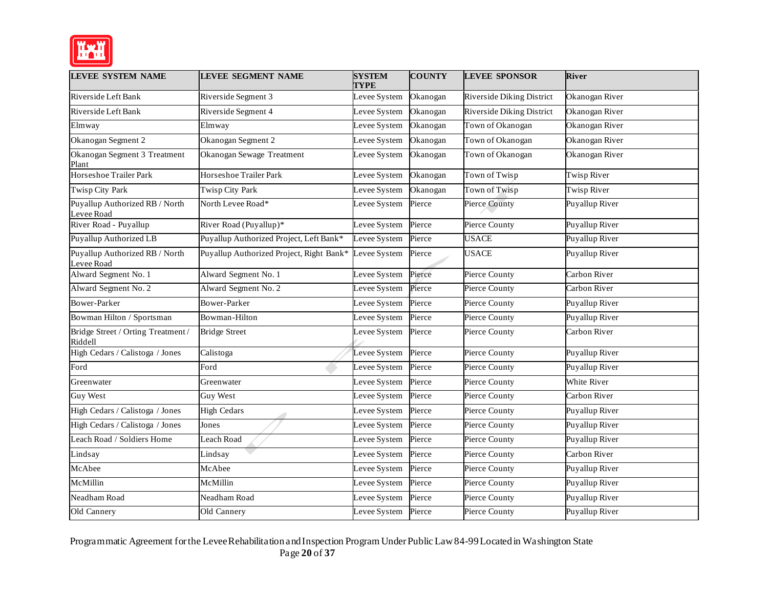

| <b>LEVEE SYSTEM NAME</b>                      | <b>LEVEE SEGMENT NAME</b>                | <b>SYSTEM</b><br><b>TYPE</b> | <b>COUNTY</b> | <b>LEVEE SPONSOR</b>             | <b>River</b>          |
|-----------------------------------------------|------------------------------------------|------------------------------|---------------|----------------------------------|-----------------------|
| Riverside Left Bank                           | Riverside Segment 3                      | Levee System                 | Okanogan      | Riverside Diking District        | Okanogan River        |
| Riverside Left Bank                           | Riverside Segment 4                      | Levee System                 | Okanogan      | <b>Riverside Diking District</b> | Okanogan River        |
| Elmway                                        | Elmway                                   | Levee System                 | Okanogan      | Town of Okanogan                 | Okanogan River        |
| Okanogan Segment 2                            | Okanogan Segment 2                       | Levee System                 | Okanogan      | Town of Okanogan                 | Okanogan River        |
| Okanogan Segment 3 Treatment<br>Plant         | Okanogan Sewage Treatment                | Levee System                 | Okanogan      | Town of Okanogan                 | Okanogan River        |
| Horseshoe Trailer Park                        | Horseshoe Trailer Park                   | Levee System                 | Okanogan      | Town of Twisp                    | Twisp River           |
| Twisp City Park                               | Twisp City Park                          | Levee System                 | Okanogan      | Town of Twisp                    | Twisp River           |
| Puyallup Authorized RB / North<br>Levee Road  | North Levee Road*                        | Levee System                 | Pierce        | <b>Pierce County</b>             | Puyallup River        |
| River Road - Puyallup                         | River Road (Puyallup)*                   | Levee System                 | Pierce        | Pierce County                    | Puyallup River        |
| Puyallup Authorized LB                        | Puyallup Authorized Project, Left Bank*  | Levee System                 | Pierce        | <b>USACE</b>                     | Puyallup River        |
| Puyallup Authorized RB / North<br>Levee Road  | Puyallup Authorized Project, Right Bank* | Levee System                 | Pierce        | <b>USACE</b>                     | Puyallup River        |
| Alward Segment No. 1                          | Alward Segment No. 1                     | Levee System                 | Pierce        | Pierce County                    | Carbon River          |
| Alward Segment No. 2                          | Alward Segment No. 2                     | Levee System                 | Pierce        | Pierce County                    | Carbon River          |
| <b>Bower-Parker</b>                           | Bower-Parker                             | Levee System                 | Pierce        | Pierce County                    | Puyallup River        |
| Bowman Hilton / Sportsman                     | Bowman-Hilton                            | Levee System                 | Pierce        | Pierce County                    | Puyallup River        |
| Bridge Street / Orting Treatment /<br>Riddell | <b>Bridge Street</b>                     | Levee System                 | Pierce        | Pierce County                    | Carbon River          |
| High Cedars / Calistoga / Jones               | Calistoga                                | Levee System                 | Pierce        | Pierce County                    | Puyallup River        |
| Ford                                          | Ford                                     | Levee System                 | Pierce        | <b>Pierce County</b>             | <b>Puyallup River</b> |
| Greenwater                                    | Greenwater                               | Levee System                 | Pierce        | Pierce County                    | White River           |
| <b>Guy West</b>                               | Guy West                                 | Levee System                 | Pierce        | Pierce County                    | Carbon River          |
| High Cedars / Calistoga / Jones               | <b>High Cedars</b>                       | Levee System                 | Pierce        | Pierce County                    | Puyallup River        |
| High Cedars / Calistoga / Jones               | Jones                                    | Levee System                 | Pierce        | Pierce County                    | Puyallup River        |
| Leach Road / Soldiers Home                    | Leach Road                               | Levee System                 | Pierce        | <b>Pierce County</b>             | Puyallup River        |
| Lindsay                                       | Lindsay                                  | Levee System                 | Pierce        | Pierce County                    | Carbon River          |
| McAbee                                        | McAbee                                   | Levee System                 | Pierce        | Pierce County                    | Puyallup River        |
| McMillin                                      | McMillin                                 | Levee System                 | Pierce        | <b>Pierce County</b>             | Puyallup River        |
| Neadham Road                                  | Neadham Road                             | Levee System                 | Pierce        | Pierce County                    | Puyallup River        |
| Old Cannery                                   | Old Cannery                              | Levee System                 | Pierce        | Pierce County                    | Puyallup River        |

 Programmatic Agreement for the LeveeRehabilitation andInspection Program Under Public Law84-99 Located in Washington State Page **20** of **37**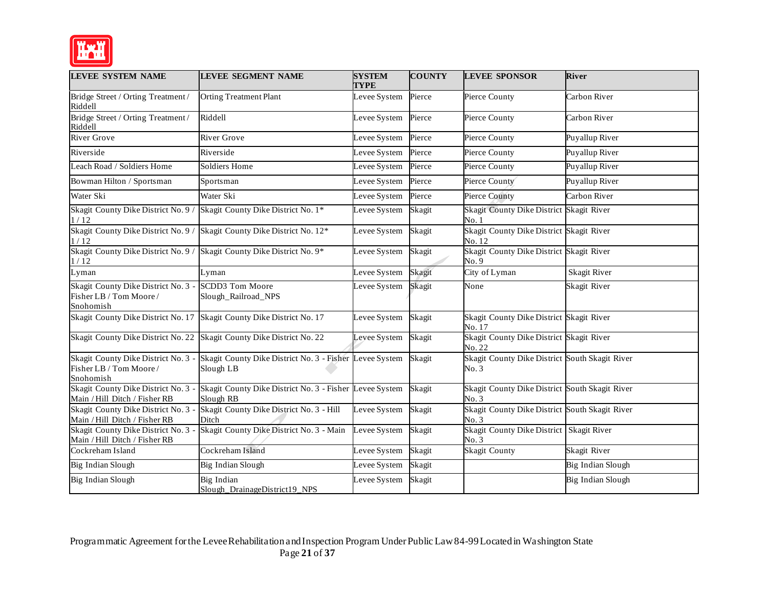

| <b>LEVEE SYSTEM NAME</b>                                                       | <b>LEVEE SEGMENT NAME</b>                                                                                | <b>SYSTEM</b><br><b>TYPE</b> | <b>COUNTY</b> | <b>LEVEE SPONSOR</b>                                    | River             |
|--------------------------------------------------------------------------------|----------------------------------------------------------------------------------------------------------|------------------------------|---------------|---------------------------------------------------------|-------------------|
| Bridge Street / Orting Treatment /<br>Riddell                                  | <b>Orting Treatment Plant</b>                                                                            | Levee System                 | Pierce        | Pierce County                                           | Carbon River      |
| Bridge Street / Orting Treatment /<br>Riddell                                  | Riddell                                                                                                  | Levee System                 | Pierce        | Pierce County                                           | Carbon River      |
| <b>River Grove</b>                                                             | <b>River Grove</b>                                                                                       | Levee System                 | Pierce        | Pierce County                                           | Puyallup River    |
| Riverside                                                                      | Riverside                                                                                                | Levee System                 | Pierce        | Pierce County                                           | Puyallup River    |
| Leach Road / Soldiers Home                                                     | <b>Soldiers Home</b>                                                                                     | Levee System                 | Pierce        | Pierce County                                           | Puyallup River    |
| Bowman Hilton / Sportsman                                                      | Sportsman                                                                                                | Levee System                 | Pierce        | Pierce County                                           | Puyallup River    |
| Water Ski                                                                      | Water Ski                                                                                                | Levee System                 | Pierce        | Pierce County                                           | Carbon River      |
| 1/12                                                                           | Skagit County Dike District No. 9 / Skagit County Dike District No. 1*                                   | Levee System                 | Skagit        | Skagit County Dike District Skagit River<br>No.1        |                   |
| 1/12                                                                           | Skagit County Dike District No. 9 / Skagit County Dike District No. 12*                                  | Levee System                 | Skagit        | Skagit County Dike District Skagit River<br>No. 12      |                   |
| Skagit County Dike District No. 9 / Skagit County Dike District No. 9*<br>1/12 |                                                                                                          | Levee System                 | Skagit        | Skagit County Dike District Skagit River<br>No.9        |                   |
| Lyman                                                                          | Lyman                                                                                                    | Levee System                 | Skagit        | City of Lyman                                           | Skagit River      |
| Skagit County Dike District No. 3 -<br>Fisher LB / Tom Moore /<br>Snohomish    | SCDD3 Tom Moore<br>Slough_Railroad_NPS                                                                   | Levee System                 | Skagit        | None                                                    | Skagit River      |
| Skagit County Dike District No. 17 Skagit County Dike District No. 17          |                                                                                                          | Levee System                 | Skagit        | Skagit County Dike District Skagit River<br>No. 17      |                   |
|                                                                                | Skagit County Dike District No. 22 Skagit County Dike District No. 22                                    | Leyee System                 | Skagit        | Skagit County Dike District Skagit River<br>No. 22      |                   |
| Fisher LB / Tom Moore /<br>Snohomish                                           | Skagit County Dike District No. 3 - Skagit County Dike District No. 3 - Fisher Levee System<br>Slough LB |                              | Skagit        | Skagit County Dike District South Skagit River<br>No.3  |                   |
| Skagit County Dike District No. 3 -<br>Main / Hill Ditch / Fisher RB           | Skagit County Dike District No. 3 - Fisher Levee System<br>Slough RB                                     |                              | Skagit        | Skagit County Dike District South Skagit River<br>No. 3 |                   |
| Skagit County Dike District No. 3 -<br>Main / Hill Ditch / Fisher RB           | Skagit County Dike District No. 3 - Hill<br>Ditch                                                        | Levee System                 | Skagit        | Skagit County Dike District South Skagit River<br>No.3  |                   |
| Skagit County Dike District No. 3 -<br>Main / Hill Ditch / Fisher RB           | Skagit County Dike District No. 3 - Main                                                                 | Levee System                 | Skagit        | Skagit County Dike District Skagit River<br>No. 3       |                   |
| Cockreham Island                                                               | Cockreham Island                                                                                         | Levee System                 | Skagit        | <b>Skagit County</b>                                    | Skagit River      |
| Big Indian Slough                                                              | Big Indian Slough                                                                                        | Levee System                 | Skagit        |                                                         | Big Indian Slough |
| Big Indian Slough                                                              | Big Indian<br>Slough DrainageDistrict19 NPS                                                              | Levee System                 | Skagit        |                                                         | Big Indian Slough |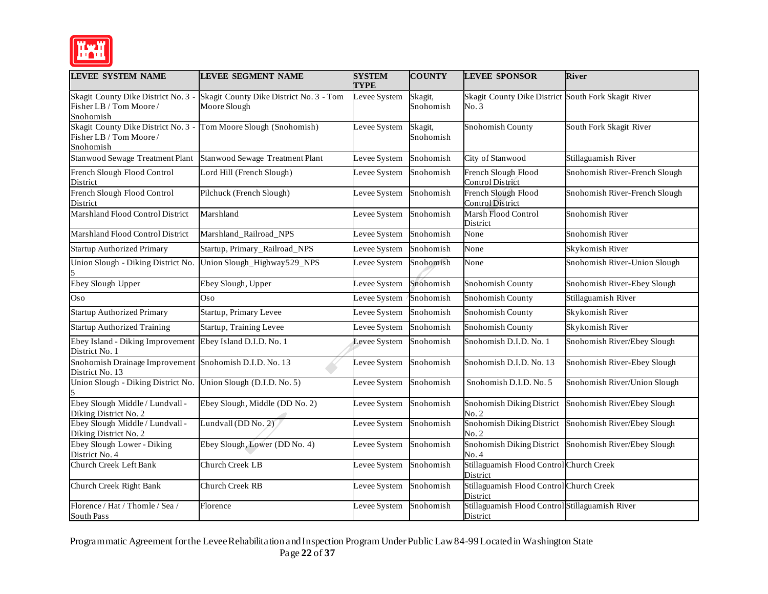

| <b>LEVEE SYSTEM NAME</b>                                                    | <b>LEVEE SEGMENT NAME</b>                               | <b>SYSTEM</b><br><b>TYPE</b> | <b>COUNTY</b>        | <b>LEVEE SPONSOR</b>                                        | <b>River</b>                  |
|-----------------------------------------------------------------------------|---------------------------------------------------------|------------------------------|----------------------|-------------------------------------------------------------|-------------------------------|
| Skagit County Dike District No. 3 -<br>Fisher LB / Tom Moore /<br>Snohomish | Skagit County Dike District No. 3 - Tom<br>Moore Slough | Levee System                 | Skagit,<br>Snohomish | Skagit County Dike District South Fork Skagit River<br>No.3 |                               |
| Skagit County Dike District No. 3 -<br>Fisher LB / Tom Moore /<br>Snohomish | Tom Moore Slough (Snohomish)                            | Levee System                 | Skagit,<br>Snohomish | Snohomish County                                            | South Fork Skagit River       |
| <b>Stanwood Sewage Treatment Plant</b>                                      | Stanwood Sewage Treatment Plant                         | Levee System                 | Snohomish            | City of Stanwood                                            | Stillaguamish River           |
| French Slough Flood Control<br>District                                     | Lord Hill (French Slough)                               | Levee System                 | Snohomish            | French Slough Flood<br>Control District                     | Snohomish River-French Slough |
| French Slough Flood Control<br>District                                     | Pilchuck (French Slough)                                | Levee System                 | Snohomish            | French Slough Flood<br><b>Control District</b>              | Snohomish River-French Slough |
| Marshland Flood Control District                                            | Marshland                                               | Levee System                 | Snohomish            | Marsh Flood Control<br>District                             | Snohomish River               |
| Marshland Flood Control District                                            | Marshland_Railroad_NPS                                  | Levee System                 | Snohomish            | None                                                        | Snohomish River               |
| <b>Startup Authorized Primary</b>                                           | Startup, Primary_Railroad_NPS                           | Levee System                 | Snohomish            | None                                                        | Skykomish River               |
| Union Slough - Diking District No.                                          | Union Slough_Highway529_NPS                             | Levee System                 | Snohomish            | None                                                        | Snohomish River-Union Slough  |
| Ebey Slough Upper                                                           | Ebey Slough, Upper                                      | Levee System                 | Snohomish            | Snohomish County                                            | Snohomish River-Ebey Slough   |
| Oso                                                                         | Oso                                                     | Levee System                 | Snohomish            | Snohomish County                                            | Stillaguamish River           |
| <b>Startup Authorized Primary</b>                                           | Startup, Primary Levee                                  | Levee System                 | Snohomish            | Snohomish County                                            | Skykomish River               |
| <b>Startup Authorized Training</b>                                          | Startup, Training Levee                                 | Levee System                 | Snohomish            | Snohomish County                                            | Skykomish River               |
| Ebey Island - Diking Improvement<br>District No. 1                          | Ebey Island D.I.D. No. 1                                | Levee System                 | Snohomish            | Snohomish D.I.D. No. 1                                      | Snohomish River/Ebey Slough   |
| Snohomish Drainage Improvement Snohomish D.I.D. No. 13<br>District No. 13   |                                                         | Levee System                 | Snohomish            | Snohomish D.I.D. No. 13                                     | Snohomish River-Ebey Slough   |
| Union Slough - Diking District No. Union Slough (D.I.D. No. 5)              |                                                         | Levee System                 | Snohomish            | Snohomish D.I.D. No. 5                                      | Snohomish River/Union Slough  |
| Ebey Slough Middle / Lundvall -<br>Diking District No. 2                    | Ebey Slough, Middle (DD No. 2)                          | Levee System                 | Snohomish            | Snohomish Diking District<br>No. 2                          | Snohomish River/Ebey Slough   |
| Ebey Slough Middle / Lundvall -<br>Diking District No. 2                    | Lundvall (DD No. 2)                                     | Levee System                 | Snohomish            | Snohomish Diking District<br>No. 2                          | Snohomish River/Ebey Slough   |
| Ebey Slough Lower - Diking<br>District No. 4                                | Ebey Slough, Lower (DD No. 4)                           | Levee System                 | Snohomish            | Snohomish Diking District<br>No. 4                          | Snohomish River/Ebey Slough   |
| <b>Church Creek Left Bank</b>                                               | Church Creek LB                                         | Levee System                 | Snohomish            | Stillaguamish Flood Control Church Creek<br>District        |                               |
| Church Creek Right Bank                                                     | Church Creek RB                                         | Levee System                 | Snohomish            | Stillaguamish Flood Control Church Creek<br>District        |                               |
| Florence / Hat / Thomle / Sea /<br>South Pass                               | Florence                                                | Levee System                 | Snohomish            | Stillaguamish Flood Control Stillaguamish River<br>District |                               |

 Programmatic Agreement for the LeveeRehabilitation andInspection Program Under Public Law84-99 Located in Washington State Page **22** of **37**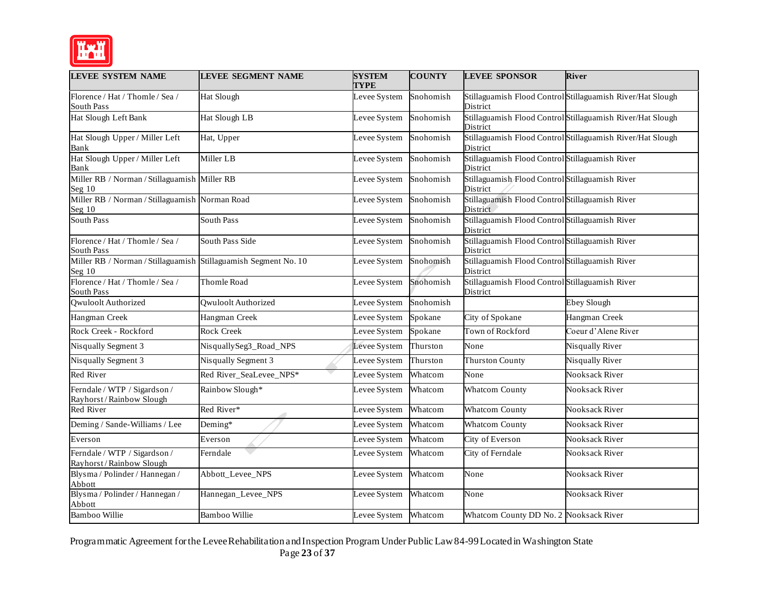

| <b>LEVEE SYSTEM NAME</b>                                                    | <b>LEVEE SEGMENT NAME</b>  | <b>SYSTEM</b><br><b>TYPE</b> | <b>COUNTY</b> | <b>LEVEE SPONSOR</b>                                        | <b>River</b>                                               |
|-----------------------------------------------------------------------------|----------------------------|------------------------------|---------------|-------------------------------------------------------------|------------------------------------------------------------|
| Florence / Hat / Thomle / Sea /<br><b>South Pass</b>                        | Hat Slough                 | Levee System                 | Snohomish     | District                                                    | Stillaguamish Flood Control Stillaguamish River/Hat Slough |
| Hat Slough Left Bank                                                        | Hat Slough LB              | Levee System                 | Snohomish     | District                                                    | Stillaguamish Flood Control Stillaguamish River/Hat Slough |
| Hat Slough Upper / Miller Left<br>Bank                                      | Hat, Upper                 | Levee System                 | Snohomish     | District                                                    | Stillaguamish Flood Control Stillaguamish River/Hat Slough |
| Hat Slough Upper / Miller Left<br>Bank                                      | Miller LB                  | Levee System                 | Snohomish     | Stillaguamish Flood Control Stillaguamish River<br>District |                                                            |
| Miller RB / Norman / Stillaguamish Miller RB<br>Seg $10$                    |                            | Levee System                 | Snohomish     | Stillaguamish Flood Control Stillaguamish River<br>District |                                                            |
| Miller RB / Norman / Stillaguamish Norman Road<br>Seg $10$                  |                            | Levee System                 | Snohomish     | Stillaguamish Flood Control Stillaguamish River<br>District |                                                            |
| South Pass                                                                  | South Pass                 | Levee System                 | Snohomish     | Stillaguamish Flood Control Stillaguamish River<br>District |                                                            |
| Florence / Hat / Thomle / Sea /<br><b>South Pass</b>                        | South Pass Side            | Levee System                 | Snohomish     | Stillaguamish Flood Control Stillaguamish River<br>District |                                                            |
| Miller RB / Norman / Stillaguamish Stillaguamish Segment No. 10<br>Seg $10$ |                            | Levee System                 | Snohomish     | Stillaguamish Flood Control Stillaguamish River<br>District |                                                            |
| Florence / Hat / Thomle / Sea /<br>South Pass                               | Thomle Road                | Levee System                 | Snohomish     | Stillaguamish Flood Control Stillaguamish River<br>District |                                                            |
| <b>Qwuloolt Authorized</b>                                                  | <b>Qwuloolt Authorized</b> | Levee System                 | Snohomish     |                                                             | <b>Ebey Slough</b>                                         |
| Hangman Creek                                                               | Hangman Creek              | Levee System                 | Spokane       | City of Spokane                                             | Hangman Creek                                              |
| Rock Creek - Rockford                                                       | <b>Rock Creek</b>          | Levee System                 | Spokane       | Town of Rockford                                            | Coeur d'Alene River                                        |
| <b>Nisqually Segment 3</b>                                                  | NisquallySeg3_Road_NPS     | Levee System                 | Thurston      | None                                                        | Nisqually River                                            |
| <b>Nisqually Segment 3</b>                                                  | Nisqually Segment 3        | Levee System                 | Thurston      | <b>Thurston County</b>                                      | Nisqually River                                            |
| Red River                                                                   | Red River_SeaLevee_NPS*    | Levee System                 | Whatcom       | None                                                        | <b>Nooksack River</b>                                      |
| Ferndale / WTP / Sigardson /<br>Rayhorst/Rainbow Slough                     | Rainbow Slough*            | Levee System                 | Whatcom       | <b>Whatcom County</b>                                       | Nooksack River                                             |
| <b>Red River</b>                                                            | Red River*                 | Levee System                 | Whatcom       | <b>Whatcom County</b>                                       | <b>Nooksack River</b>                                      |
| Deming / Sande-Williams / Lee                                               | Deming*                    | Levee System                 | Whatcom       | <b>Whatcom County</b>                                       | Nooksack River                                             |
| Everson                                                                     | Everson                    | Levee System                 | Whatcom       | City of Everson                                             | Nooksack River                                             |
| Ferndale / WTP / Sigardson /<br>Rayhorst/Rainbow Slough                     | Ferndale                   | Levee System                 | Whatcom       | City of Ferndale                                            | <b>Nooksack River</b>                                      |
| Blysma / Polinder / Hannegan /<br>Abbott                                    | Abbott_Levee_NPS           | Levee System                 | Whatcom       | None                                                        | Nooksack River                                             |
| Blysma / Polinder / Hannegan /<br>Abbott                                    | Hannegan_Levee_NPS         | Levee System                 | Whatcom       | None                                                        | <b>Nooksack River</b>                                      |
| <b>Bamboo Willie</b>                                                        | <b>Bamboo Willie</b>       | Levee System                 | Whatcom       | Whatcom County DD No. 2 Nooksack River                      |                                                            |

 Programmatic Agreement for the LeveeRehabilitation andInspection Program Under Public Law84-99 Located in Washington State Page **23** of **37**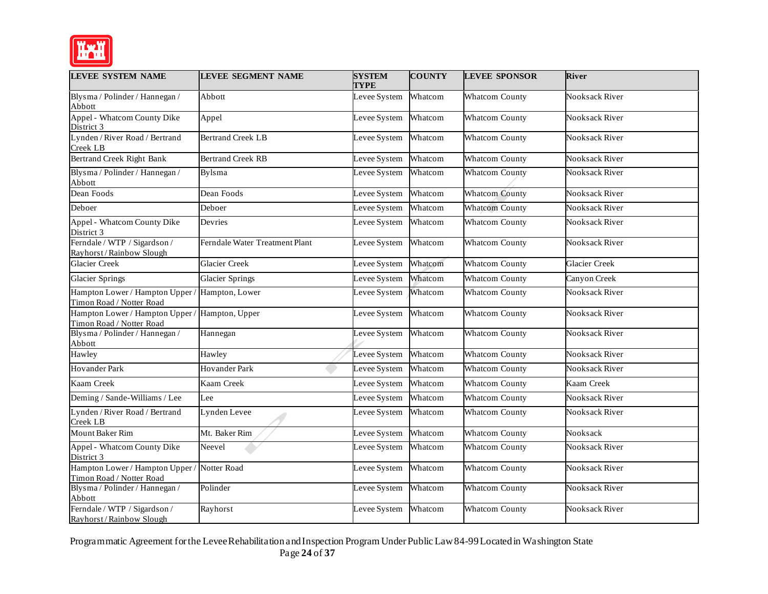

| <b>LEVEE SYSTEM NAME</b>                                                   | <b>LEVEE SEGMENT NAME</b>      | <b>SYSTEM</b><br><b>TYPE</b> | <b>COUNTY</b> | <b>LEVEE SPONSOR</b>  | <b>River</b>          |
|----------------------------------------------------------------------------|--------------------------------|------------------------------|---------------|-----------------------|-----------------------|
| Blysma / Polinder / Hannegan /<br>Abbott                                   | Abbott                         | Levee System                 | Whatcom       | <b>Whatcom County</b> | Nooksack River        |
| Appel - Whatcom County Dike<br>District 3                                  | Appel                          | Levee System                 | Whatcom       | <b>Whatcom County</b> | <b>Nooksack River</b> |
| Lynden / River Road / Bertrand<br>Creek LB                                 | <b>Bertrand Creek LB</b>       | Levee System                 | Whatcom       | <b>Whatcom County</b> | <b>Nooksack River</b> |
| Bertrand Creek Right Bank                                                  | <b>Bertrand Creek RB</b>       | Levee System                 | Whatcom       | <b>Whatcom County</b> | Nooksack River        |
| Blysma / Polinder / Hannegan /<br>Abbott                                   | <b>Bylsma</b>                  | Levee System                 | Whatcom       | <b>Whatcom County</b> | <b>Nooksack River</b> |
| Dean Foods                                                                 | Dean Foods                     | Levee System                 | Whatcom       | <b>Whatcom County</b> | Nooksack River        |
| Deboer                                                                     | Deboer                         | Levee System                 | Whatcom       | <b>Whatcom County</b> | <b>Nooksack River</b> |
| Appel - Whatcom County Dike<br>District 3                                  | Devries                        | Levee System                 | Whatcom       | <b>Whatcom County</b> | Nooksack River        |
| Ferndale / WTP / Sigardson /<br>Rayhorst/Rainbow Slough                    | Ferndale Water Treatment Plant | Levee System                 | Whatcom       | <b>Whatcom County</b> | Nooksack River        |
| <b>Glacier Creek</b>                                                       | <b>Glacier Creek</b>           | Levee System                 | Whatcom       | <b>Whatcom County</b> | <b>Glacier Creek</b>  |
| <b>Glacier Springs</b>                                                     | <b>Glacier Springs</b>         | Levee System                 | Whatcom       | <b>Whatcom County</b> | Canyon Creek          |
| Hampton Lower / Hampton Upper / Hampton, Lower<br>Timon Road / Notter Road |                                | Levee System                 | Whatcom       | <b>Whatcom County</b> | <b>Nooksack River</b> |
| Hampton Lower / Hampton Upper / Hampton, Upper<br>Timon Road / Notter Road |                                | Levee System                 | Whatcom       | <b>Whatcom County</b> | Nooksack River        |
| Blysma / Polinder / Hannegan /<br>Abbott                                   | Hannegan                       | Levee System                 | Whatcom       | <b>Whatcom County</b> | Nooksack River        |
| Hawley                                                                     | Hawley                         | Levee System                 | Whatcom       | <b>Whatcom County</b> | <b>Nooksack River</b> |
| <b>Hovander Park</b>                                                       | <b>Hovander Park</b>           | Levee System                 | Whatcom       | <b>Whatcom County</b> | Nooksack River        |
| Kaam Creek                                                                 | Kaam Creek                     | Levee System                 | Whatcom       | <b>Whatcom County</b> | Kaam Creek            |
| Deming / Sande-Williams / Lee                                              | Lee                            | Levee System                 | Whatcom       | <b>Whatcom County</b> | Nooksack River        |
| Lynden / River Road / Bertrand<br>Creek LB                                 | Lynden Levee                   | Levee System                 | Whatcom       | <b>Whatcom County</b> | Nooksack River        |
| Mount Baker Rim                                                            | Mt. Baker Rim                  | Levee System                 | Whatcom       | <b>Whatcom County</b> | Nooksack              |
| Appel - Whatcom County Dike<br>District 3                                  | Neevel                         | Levee System                 | Whatcom       | <b>Whatcom County</b> | <b>Nooksack River</b> |
| Hampton Lower / Hampton Upper / Notter Road<br>Timon Road / Notter Road    |                                | Levee System                 | Whatcom       | <b>Whatcom County</b> | Nooksack River        |
| Blysma / Polinder / Hannegan /<br>Abbott                                   | Polinder                       | Levee System                 | Whatcom       | <b>Whatcom County</b> | Nooksack River        |
| Ferndale / WTP / Sigardson /<br>Rayhorst/Rainbow Slough                    | Rayhorst                       | Levee System                 | Whatcom       | <b>Whatcom County</b> | <b>Nooksack River</b> |

Programmatic Agreement for the LeveeRehabilitation andInspection Program Under Public Law84-99 Located in Washington State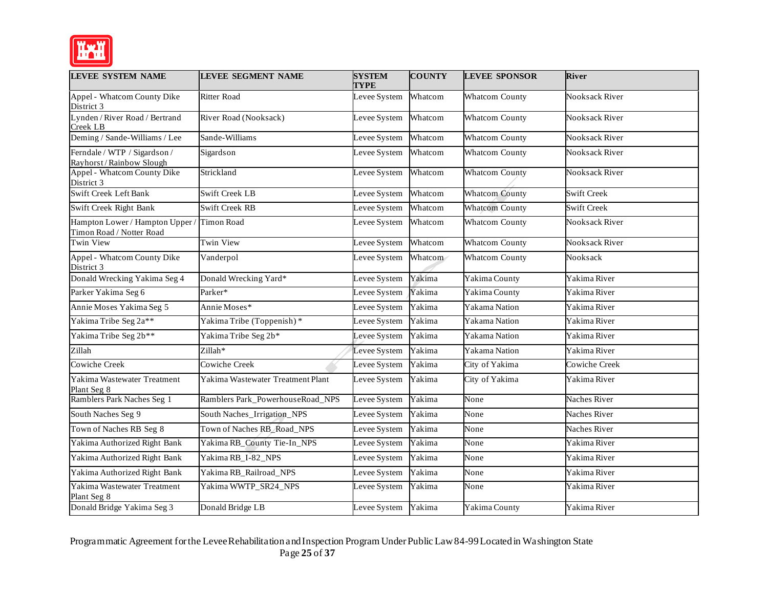

| <b>LEVEE SYSTEM NAME</b>                                    | <b>LEVEE SEGMENT NAME</b>         | <b>SYSTEM</b><br><b>TYPE</b> | <b>COUNTY</b> | <b>LEVEE SPONSOR</b>  | <b>River</b>          |
|-------------------------------------------------------------|-----------------------------------|------------------------------|---------------|-----------------------|-----------------------|
| Appel - Whatcom County Dike<br>District 3                   | <b>Ritter Road</b>                | Levee System                 | Whatcom       | <b>Whatcom County</b> | <b>Nooksack River</b> |
| Lynden / River Road / Bertrand<br>Creek LB                  | River Road (Nooksack)             | Levee System                 | Whatcom       | <b>Whatcom County</b> | <b>Nooksack River</b> |
| Deming / Sande-Williams / Lee                               | Sande-Williams                    | Levee System                 | Whatcom       | <b>Whatcom County</b> | Nooksack River        |
| Ferndale / WTP / Sigardson /<br>Rayhorst/Rainbow Slough     | Sigardson                         | Levee System                 | Whatcom       | <b>Whatcom County</b> | <b>Nooksack River</b> |
| Appel - Whatcom County Dike<br>District 3                   | Strickland                        | Levee System                 | Whatcom       | <b>Whatcom County</b> | <b>Nooksack River</b> |
| Swift Creek Left Bank                                       | <b>Swift Creek LB</b>             | Levee System                 | Whatcom       | <b>Whatcom County</b> | <b>Swift Creek</b>    |
| Swift Creek Right Bank                                      | <b>Swift Creek RB</b>             | Levee System                 | Whatcom       | <b>Whatcom County</b> | <b>Swift Creek</b>    |
| Hampton Lower / Hampton Upper /<br>Timon Road / Notter Road | <b>Timon Road</b>                 | Levee System                 | Whatcom       | <b>Whatcom County</b> | <b>Nooksack River</b> |
| Twin View                                                   | Twin View                         | Levee System                 | Whatcom       | <b>Whatcom County</b> | <b>Nooksack River</b> |
| Appel - Whatcom County Dike<br>District 3                   | Vanderpol                         | Levee System                 | Whatcom       | <b>Whatcom County</b> | Nooksack              |
| Donald Wrecking Yakima Seg 4                                | Donald Wrecking Yard*             | Levee System                 | Yakima        | Yakima County         | Yakima River          |
| Parker Yakima Seg 6                                         | Parker*                           | Levee System                 | Yakima        | Yakima County         | Yakima River          |
| Annie Moses Yakima Seg 5                                    | Annie Moses*                      | Levee System                 | Yakima        | Yakama Nation         | Yakima River          |
| Yakima Tribe Seg 2a**                                       | Yakima Tribe (Toppenish)*         | Levee System                 | Yakima        | Yakama Nation         | Yakima River          |
| Yakima Tribe Seg 2b**                                       | Yakima Tribe Seg 2b*              | Levee System                 | Yakima        | Yakama Nation         | Yakima River          |
| Zillah                                                      | Zillah*                           | Levee System                 | Yakima        | Yakama Nation         | Yakima River          |
| <b>Cowiche Creek</b>                                        | Cowiche Creek                     | Levee System                 | Yakima        | City of Yakima        | <b>Cowiche Creek</b>  |
| Yakima Wastewater Treatment<br>Plant Seg 8                  | Yakima Wastewater Treatment Plant | Levee System                 | Yakima        | City of Yakima        | Yakima River          |
| Ramblers Park Naches Seg 1                                  | Ramblers Park_PowerhouseRoad_NPS  | Levee System                 | Yakima        | None                  | <b>Naches River</b>   |
| South Naches Seg 9                                          | South Naches_Irrigation_NPS       | Levee System                 | Yakima        | None                  | <b>Naches River</b>   |
| Town of Naches RB Seg 8                                     | Town of Naches RB_Road_NPS        | Levee System                 | Yakima        | None                  | <b>Naches River</b>   |
| Yakima Authorized Right Bank                                | Yakima RB_County Tie-In_NPS       | Levee System                 | Yakima        | None                  | Yakima River          |
| Yakima Authorized Right Bank                                | Yakima RB_I-82_NPS                | Levee System                 | Yakima        | None                  | Yakima River          |
| Yakima Authorized Right Bank                                | Yakima RB_Railroad_NPS            | Levee System                 | Yakima        | None                  | Yakima River          |
| Yakima Wastewater Treatment<br>Plant Seg 8                  | Yakima WWTP_SR24_NPS              | Levee System                 | Yakima        | None                  | Yakima River          |
| Donald Bridge Yakima Seg 3                                  | Donald Bridge LB                  | Levee System                 | Yakima        | Yakima County         | Yakima River          |

 Programmatic Agreement for the LeveeRehabilitation andInspection Program Under Public Law84-99 Located in Washington State Page **25** of **37**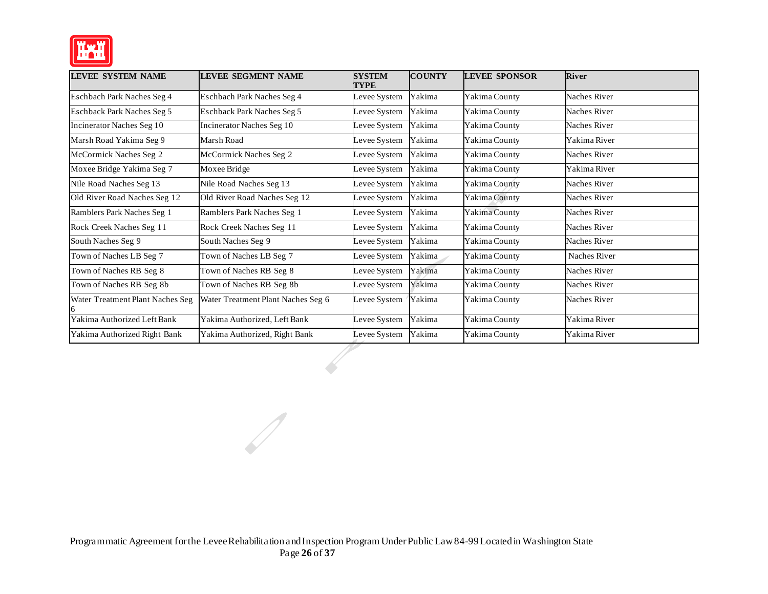

| <b>LEVEE SYSTEM NAME</b>          | <b>LEVEE SEGMENT NAME</b>          | <b>SYSTEM</b><br>TYPE | <b>COUNTY</b> | <b>LEVEE SPONSOR</b> | <b>River</b>        |
|-----------------------------------|------------------------------------|-----------------------|---------------|----------------------|---------------------|
| Eschbach Park Naches Seg 4        | Eschbach Park Naches Seg 4         | Levee System          | Yakima        | Yakima County        | <b>Naches River</b> |
| <b>Eschback Park Naches Seg 5</b> | <b>Eschback Park Naches Seg 5</b>  | Levee System          | Yakima        | Yakima County        | <b>Naches River</b> |
| <b>Incinerator Naches Seg 10</b>  | Incinerator Naches Seg 10          | Levee System          | Yakima        | Yakima County        | <b>Naches River</b> |
| Marsh Road Yakima Seg 9           | Marsh Road                         | Levee System          | Yakima        | Yakima County        | Yakima River        |
| McCormick Naches Seg 2            | McCormick Naches Seg 2             | Levee System          | Yakima        | Yakima County        | <b>Naches River</b> |
| Moxee Bridge Yakima Seg 7         | Moxee Bridge                       | Levee System          | Yakima        | Yakima County        | Yakima River        |
| Nile Road Naches Seg 13           | Nile Road Naches Seg 13            | Levee System          | Yakima        | Yakima County        | <b>Naches River</b> |
| Old River Road Naches Seg 12      | Old River Road Naches Seg 12       | Levee System          | Yakima        | Yakima County        | <b>Naches River</b> |
| Ramblers Park Naches Seg 1        | Ramblers Park Naches Seg 1         | Levee System          | Yakima        | Yakima County        | <b>Naches River</b> |
| Rock Creek Naches Seg 11          | Rock Creek Naches Seg 11           | Levee System          | Yakima        | Yakima County        | Naches River        |
| South Naches Seg 9                | South Naches Seg 9                 | Levee System          | Yakima        | Yakima County        | <b>Naches River</b> |
| Town of Naches LB Seg 7           | Town of Naches LB Seg 7            | Levee System          | Yakima        | Yakima County        | <b>Naches River</b> |
| Town of Naches RB Seg 8           | Town of Naches RB Seg 8            | Levee System          | Yakima        | Yakima County        | <b>Naches River</b> |
| Town of Naches RB Seg 8b          | Town of Naches RB Seg 8b           | Levee System          | Yakima        | Yakima County        | <b>Naches River</b> |
| Water Treatment Plant Naches Seg  | Water Treatment Plant Naches Seg 6 | Levee System          | Yakima        | Yakima County        | Naches River        |
| Yakima Authorized Left Bank       | Yakima Authorized, Left Bank       | Levee System          | Yakima        | Yakima County        | Yakima River        |
| Yakima Authorized Right Bank      | Yakima Authorized, Right Bank      | Levee System          | Yakima        | Yakima County        | Yakima River        |

 $\mathscr{D}$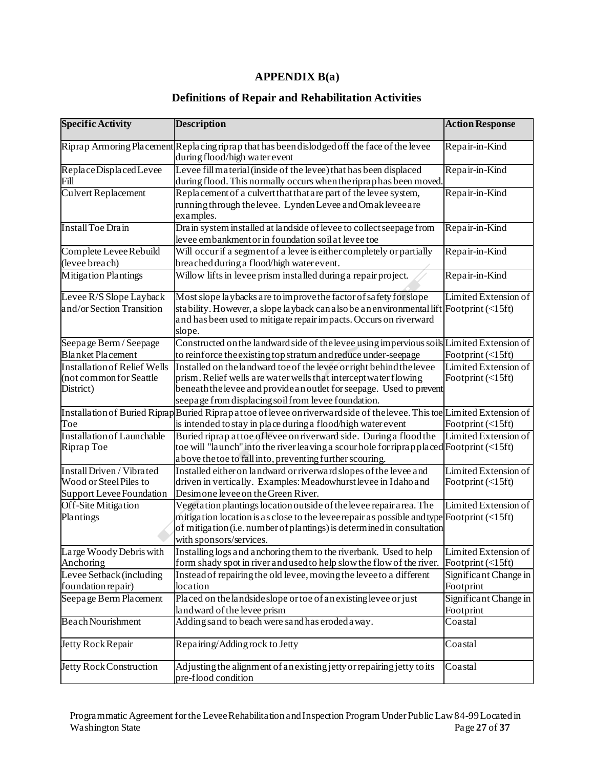# **APPENDIX B(a)**

#### **Definitions of Repair and Rehabilitation Activities**

| <b>Specific Activity</b>                                                        | <b>Description</b>                                                                                                                                                                                                                                                            | <b>Action Response</b>                          |
|---------------------------------------------------------------------------------|-------------------------------------------------------------------------------------------------------------------------------------------------------------------------------------------------------------------------------------------------------------------------------|-------------------------------------------------|
|                                                                                 | Riprap Armoring Placement Replacing riprap that has been dislodged off the face of the levee<br>during flood/high water event                                                                                                                                                 | Repair-in-Kind                                  |
| Replace Displaced Levee<br>Fill                                                 | Levee fill material (inside of the levee) that has been displaced<br>during flood. This normally occurs when the ripraphas been moved                                                                                                                                         | Repair-in-Kind                                  |
| <b>Culvert Replacement</b>                                                      | Replacement of a culvert that that are part of the levee system,<br>running through the levee. Lynden Levee and Omak levee are<br>examples.                                                                                                                                   | Repair-in-Kind                                  |
| <b>Install Toe Drain</b>                                                        | Drain system installed at landside of levee to collect seepage from<br>levee embankment or in foundation soil at levee toe                                                                                                                                                    | Repair-in-Kind                                  |
| Complete Levee Rebuild<br>(levee breach)                                        | Will occur if a segment of a levee is either completely or partially<br>breached during a flood/high water event.                                                                                                                                                             | Repair-in-Kind                                  |
| <b>Mitigation Plantings</b>                                                     | Willow lifts in levee prism installed during a repair project.                                                                                                                                                                                                                | Repair-in-Kind                                  |
| Levee R/S Slope Layback<br>and/or Section Transition                            | Most slope laybacks are to improve the factor of safety for slope<br>stability. However, a slope layback can also be an environmental lift Footprint $\langle$ 5ft)<br>and has been used to mitigate repair impacts. Occurs on riverward<br>slope.                            | Limited Extension of                            |
| Seepage Berm / Seepage<br><b>Blanket Placement</b>                              | Constructed on the landward side of the levee using impervious soils Limited Extension of<br>to reinforce the existing top stratum and reduce under-seepage                                                                                                                   | Footprint (<15ft)                               |
| <b>Installation of Relief Wells</b><br>(not common for Seattle<br>District)     | Installed on the landward toe of the levee or right behind the levee<br>prism. Relief wells are water wells that intercept water flowing<br>beneath the levee and provide an outlet for seepage. Used to prevent<br>seepage from displacing soil from levee foundation.       | Limited Extension of<br>Footprint $(\leq 15ft)$ |
| Toe                                                                             | Installation of Buried Riprap Buried Riprapattoe of levee on riverward side of the levee. This toe Limited Extension of<br>is intended to stay in place during a flood/high water event                                                                                       | Footprint (<15ft)                               |
| <b>Installation of Launchable</b><br>Riprap Toe                                 | Buried riprap at toe of levee on riverward side. During a flood the<br>toe will "launch" into the river leaving a scour hole for riprapplaced Footprint (<15ft)<br>above the toe to fall into, preventing further scouring.                                                   | Limited Extension of                            |
| Install Driven / Vibrated<br>Wood or Steel Piles to<br>Support Levee Foundation | Installed either on landward or riverward slopes of the levee and<br>driven in vertically. Examples: Meadowhurst levee in Idaho and<br>Desimone levee on the Green River.                                                                                                     | Limited Extension of<br>Footprint (<15ft)       |
| Off-Site Mitigation<br>Plantings                                                | Vegetation plantings location outside of the levee repair area. The<br>mitigation location is as close to the leveerepair as possible and type Footprint $\langle$ 15ft)<br>of mitigation (i.e. number of plantings) is determined in consultation<br>with sponsors/services. | Limited Extension of                            |
| Large Woody Debris with<br>Anchoring                                            | Installing logs and anchoring them to the riverbank. Used to help<br>form shady spot in river and used to help slow the flow of the river.                                                                                                                                    | Limited Extension of<br>Footprint $(\leq 15ft)$ |
| Levee Setback (including<br>foundation repair)                                  | Instead of repairing the old levee, moving the levee to a different<br>location                                                                                                                                                                                               | Significant Change in<br>Footprint              |
| Seepage Berm Placement                                                          | Placed on the landside slope or toe of an existing levee or just<br>landward of the levee prism                                                                                                                                                                               | Significant Change in<br>Footprint              |
| <b>Beach Nourishment</b>                                                        | Adding sand to beach were sand has eroded away.                                                                                                                                                                                                                               | Coastal                                         |
| Jetty Rock Repair                                                               | Repairing/Adding rock to Jetty                                                                                                                                                                                                                                                | Coastal                                         |
| <b>Jetty Rock Construction</b>                                                  | Adjusting the alignment of an existing jetty or repairing jetty to its<br>pre-flood condition                                                                                                                                                                                 | Coastal                                         |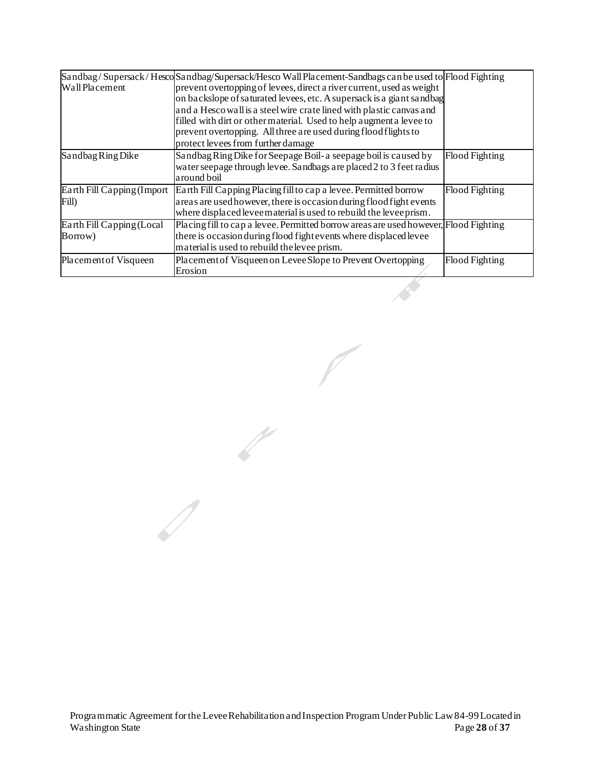|                             | Sandbag/Supersack/HescoSandbag/Supersack/Hesco Wall Placement-Sandbags can be used to Flood Fighting                                                      |                       |
|-----------------------------|-----------------------------------------------------------------------------------------------------------------------------------------------------------|-----------------------|
| Wall Placement              | prevent overtopping of levees, direct a river current, used as weight                                                                                     |                       |
|                             | on backslope of saturated levees, etc. A supersack is a giant sandbag                                                                                     |                       |
|                             | and a Hesco wall is a steel wire crate lined with plastic canvas and                                                                                      |                       |
|                             | filled with dirt or other material. Used to help augment a levee to                                                                                       |                       |
|                             | prevent overtopping. All three are used during flood flights to                                                                                           |                       |
|                             | protect levees from further damage                                                                                                                        |                       |
| Sandbag Ring Dike           | Sandbag Ring Dike for Seepage Boil- a seepage boil is caused by                                                                                           | Flood Fighting        |
|                             | water seepage through levee. Sandbags are placed 2 to 3 feet radius<br>around boil                                                                        |                       |
|                             |                                                                                                                                                           |                       |
| Earth Fill Capping (Import) | Earth Fill Capping Placing fill to cap a levee. Permitted borrow                                                                                          | Flood Fighting        |
| Fill)                       | areas are used however, there is occasion during flood fight events<br>where displaced levee material is used to rebuild the levee prism.                 |                       |
|                             |                                                                                                                                                           |                       |
| Earth Fill Capping (Local   | Placing fill to cap a levee. Permitted borrow areas are used however, Flood Fighting<br>there is occasion during flood fight events where displaced levee |                       |
| Borrow)                     |                                                                                                                                                           |                       |
|                             | material is used to rebuild the levee prism.                                                                                                              |                       |
| Placement of Visqueen       | Placement of Visqueen on Levee Slope to Prevent Overtopping                                                                                               | <b>Flood Fighting</b> |
|                             | Erosion                                                                                                                                                   |                       |
|                             |                                                                                                                                                           |                       |

 $\mathbb{Z}$ 

 $\overline{\mathscr{S}}$ 

 $\sqrt{2}$ 

 $\begin{array}{c} \end{array}$ Programmatic Agreement for the LeveeRehabilitation andInspection Program Under Public Law84-99 Located in Washington State **Page 28 of 37 Page 28 of 37**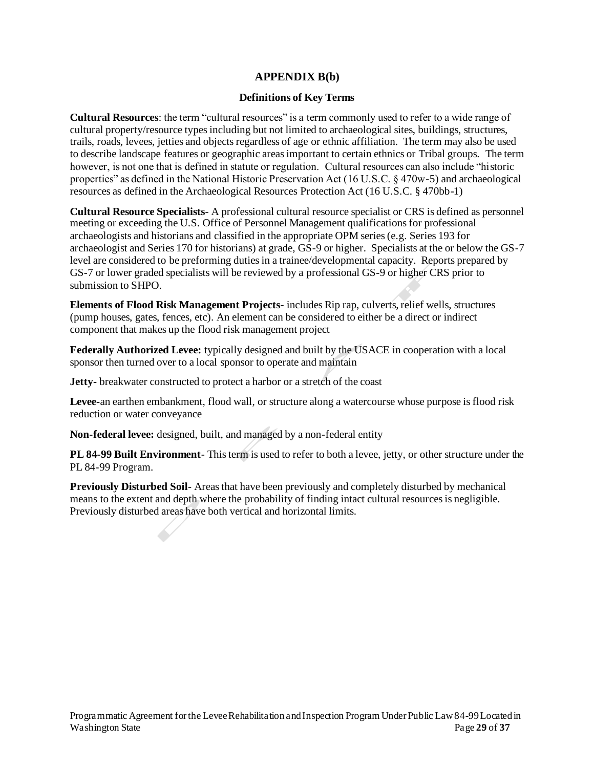### **APPENDIX B(b)**

#### **Definitions of Key Terms**

 **Cultural Resources**: the term "cultural resources" is a term commonly used to refer to a wide range of cultural property/resource types including but not limited to archaeological sites, buildings, structures, trails, roads, levees, jetties and objects regardless of age or ethnic affiliation. The term may also be used to describe landscape features or geographic areas important to certain ethnics or Tribal groups. The term however, is not one that is defined in statute or regulation. Cultural resources can also include "historic properties" as defined in the National Historic Preservation Act (16 U.S.C. § 470w-5) and archaeological resources as defined in the Archaeological Resources Protection Act (16 U.S.C. § 470bb-1)

 **Cultural Resource Specialists**- A professional cultural resource specialist or CRS is defined as personnel meeting or exceeding the U.S. Office of Personnel Management qualifications for professional archaeologists and historians and classified in the appropriate OPM series (e.g. Series 193 for archaeologist and Series 170 for historians) at grade, GS-9 or higher. Specialists at the or below the GS-7 level are considered to be preforming duties in a trainee/developmental capacity. Reports prepared by GS-7 or lower graded specialists will be reviewed by a professional GS-9 or higher CRS prior to submission to SHPO.

 **Elements of Flood Risk Management Projects-** includes Rip rap, culverts, relief wells, structures (pump houses, gates, fences, etc). An element can be considered to either be a direct or indirect component that makes up the flood risk management project

 **Federally Authorized Levee:** typically designed and built by the USACE in cooperation with a local sponsor then turned over to a local sponsor to operate and maintain

**Jetty-** breakwater constructed to protect a harbor or a stretch of the coast<br>Levee-an earthen embankment, flood wall, or structure along a watercoun **Levee-**an earthen embankment, flood wall, or structure along a watercourse whose purpose is flood risk reduction or water conveyance

 **Non-federal levee:** designed, built, and managed by a non-federal entity

**PL 84-99 Built Environment**- This term is used to refer to both a levee, jetty, or other structure under the PL 84-99 Program. PL 84-99 Program.

 **Previously Disturbed Soil**- Areas that have been previously and completely disturbed by mechanical means to the extent and depth where the probability of finding intact cultural resources is negligible. Previously disturbed areas have both vertical and horizontal limits.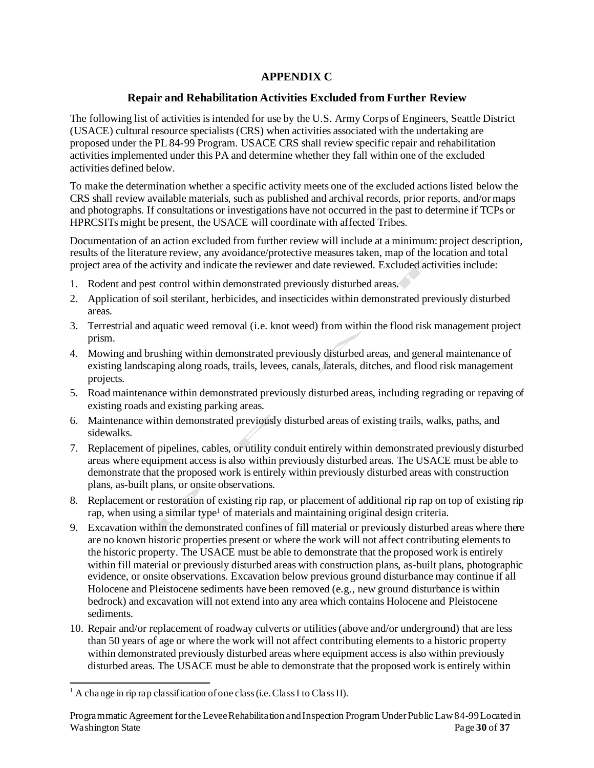## **APPENDIX C**

## **Repair and Rehabilitation Activities Excluded from Further Review**

 The following list of activities is intended for use by the U.S. Army Corps of Engineers, Seattle District (USACE) cultural resource specialists (CRS) when activities associated with the undertaking are proposed under the PL 84-99 Program. USACE CRS shall review specific repair and rehabilitation activities implemented under this PA and determine whether they fall within one of the excluded activities defined below.

 To make the determination whether a specific activity meets one of the excluded actions listed below the CRS shall review available materials, such as published and archival records, prior reports, and/or maps and photographs. If consultations or investigations have not occurred in the past to determine if TCPs or HPRCSITs might be present, the USACE will coordinate with affected Tribes.

 Documentation of an action excluded from further review will include at a minimum: project description, results of the literature review, any avoidance/protective measures taken, map of the location and total project area of the activity and indicate the reviewer and date reviewed. Excluded activities include:

- 1. Rodent and pest control within demonstrated previously disturbed areas.
- 2. Application of soil sterilant, herbicides, and insecticides within demonstrated previously disturbed areas.
- 3. Terrestrial and aquatic weed removal (i.e. knot weed) from within the flood risk management project prism.
- 4. Mowing and brushing within demonstrated previously disturbed areas, and general maintenance of existing landscaping along roads, trails, levees, canals, laterals, ditches, and flood risk management projects.
- 5. Road maintenance within demonstrated previously disturbed areas, including regrading or repaving of existing roads and existing parking areas.
- 6. Maintenance within demonstrated previously disturbed areas of existing trails, walks, paths, and sidewalks.
- 7. Replacement of pipelines, cables, or utility conduit entirely within demonstrated previously disturbed areas where equipment access is also within previously disturbed areas. The USACE must be able to demonstrate that the proposed work is entirely within previously disturbed areas with construction plans, as-built plans, or onsite observations.
- 8. Replacement or restoration of existing rip rap, or placement of additional rip rap on top of existing rip rap, when using a similar type<sup>1</sup> of materials and maintaining original design criteria.
- 9. Excavation within the demonstrated confines of fill material or previously disturbed areas where there are no known historic properties present or where the work will not affect contributing elements to the historic property. The USACE must be able to demonstrate that the proposed work is entirely within fill material or previously disturbed areas with construction plans, as-built plans, photographic evidence, or onsite observations. Excavation below previous ground disturbance may continue if all Holocene and Pleistocene sediments have been removed (e.g., new ground disturbance is within bedrock) and excavation will not extend into any area which contains Holocene and Pleistocene sediments.
- 10. Repair and/or replacement of roadway culverts or utilities (above and/or underground) that are less than 50 years of age or where the work will not affect contributing elements to a historic property within demonstrated previously disturbed areas where equipment access is also within previously disturbed areas. The USACE must be able to demonstrate that the proposed work is entirely within

 $<sup>1</sup>$  A change in rip rap classification of one class (i.e. Class I to Class II).</sup>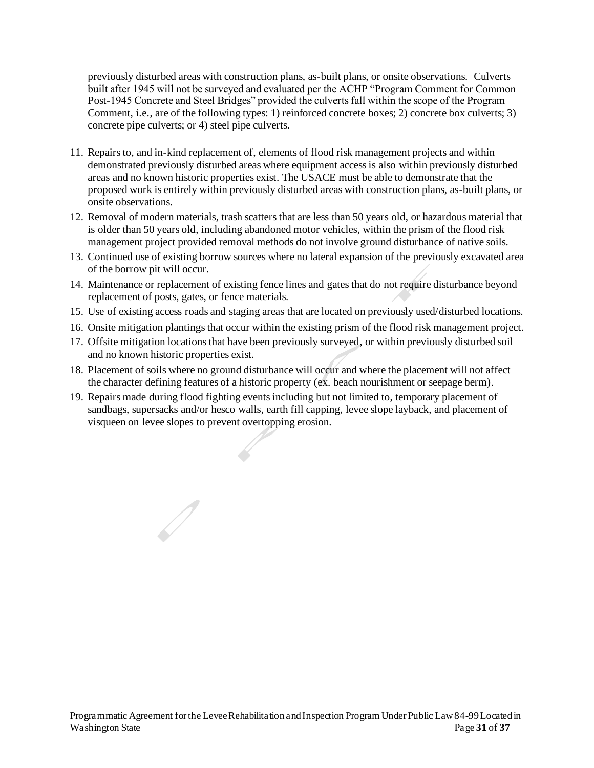previously disturbed areas with construction plans, as-built plans, or onsite observations. Culverts built after 1945 will not be surveyed and evaluated per the ACHP "Program Comment for Common Post-1945 Concrete and Steel Bridges" provided the culverts fall within the scope of the Program Comment, i.e., are of the following types: 1) reinforced concrete boxes; 2) concrete box culverts; 3) concrete pipe culverts; or 4) steel pipe culverts.

- 11. Repairs to, and in-kind replacement of, elements of flood risk management projects and within demonstrated previously disturbed areas where equipment access is also within previously disturbed areas and no known historic properties exist. The USACE must be able to demonstrate that the proposed work is entirely within previously disturbed areas with construction plans, as-built plans, or onsite observations.
- 12. Removal of modern materials, trash scatters that are less than 50 years old, or hazardous material that is older than 50 years old, including abandoned motor vehicles, within the prism of the flood risk management project provided removal methods do not involve ground disturbance of native soils.
- 13. Continued use of existing borrow sources where no lateral expansion of the previously excavated area of the borrow pit will occur.
- 14. Maintenance or replacement of existing fence lines and gates that do not require disturbance beyond replacement of posts, gates, or fence materials.
- 15. Use of existing access roads and staging areas that are located on previously used/disturbed locations.
- 16. Onsite mitigation plantings that occur within the existing prism of the flood risk management project.
- 17. Offsite mitigation locations that have been previously surveyed, or within previously disturbed soil and no known historic properties exist.
- 18. Placement of soils where no ground disturbance will occur and where the placement will not affect
- Tracement of sons where no ground disturbance will occur and where the placement will not all<br>the character defining features of a historic property (ex. beach nourishment or seepage berm).<br>Repairs made during flood fighti 19. Repairs made during flood fighting events including but not limited to, temporary placement of sandbags, supersacks and/or hesco walls, earth fill capping, levee slope layback, and placement of visqueen on levee slopes to prevent overtopping erosion.

'

 $\bigtriangledown$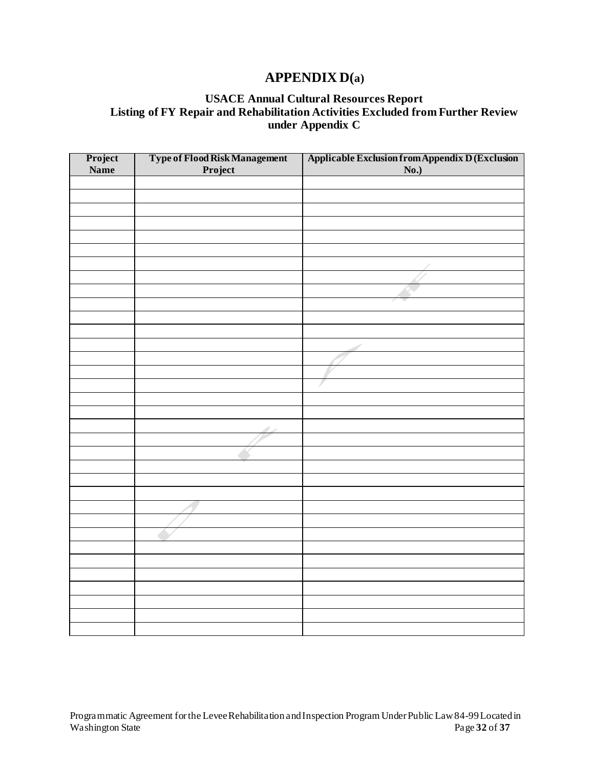# **APPENDIX D(a)**

## **USACE Annual Cultural Resources Report Listing of FY Repair and Rehabilitation Activities Excluded from Further Review under Appendix C**

| Project     | Type of Flood Risk Management<br>Project | <b>Applicable Exclusion from Appendix D (Exclusion No.)</b> |
|-------------|------------------------------------------|-------------------------------------------------------------|
| <b>Name</b> |                                          |                                                             |
|             |                                          |                                                             |
|             |                                          |                                                             |
|             |                                          |                                                             |
|             |                                          |                                                             |
|             |                                          |                                                             |
|             |                                          |                                                             |
|             |                                          |                                                             |
|             |                                          |                                                             |
|             |                                          |                                                             |
|             |                                          |                                                             |
|             |                                          |                                                             |
|             |                                          |                                                             |
|             |                                          |                                                             |
|             |                                          |                                                             |
|             |                                          |                                                             |
|             |                                          | ₽                                                           |
|             |                                          |                                                             |
|             |                                          |                                                             |
|             |                                          |                                                             |
|             |                                          |                                                             |
|             |                                          |                                                             |
|             |                                          |                                                             |
|             |                                          |                                                             |
|             |                                          |                                                             |
|             |                                          |                                                             |
|             |                                          |                                                             |
|             |                                          |                                                             |
|             |                                          |                                                             |
|             |                                          |                                                             |
|             |                                          |                                                             |
|             |                                          |                                                             |
|             |                                          |                                                             |
|             |                                          |                                                             |
|             |                                          |                                                             |
|             |                                          |                                                             |
|             |                                          |                                                             |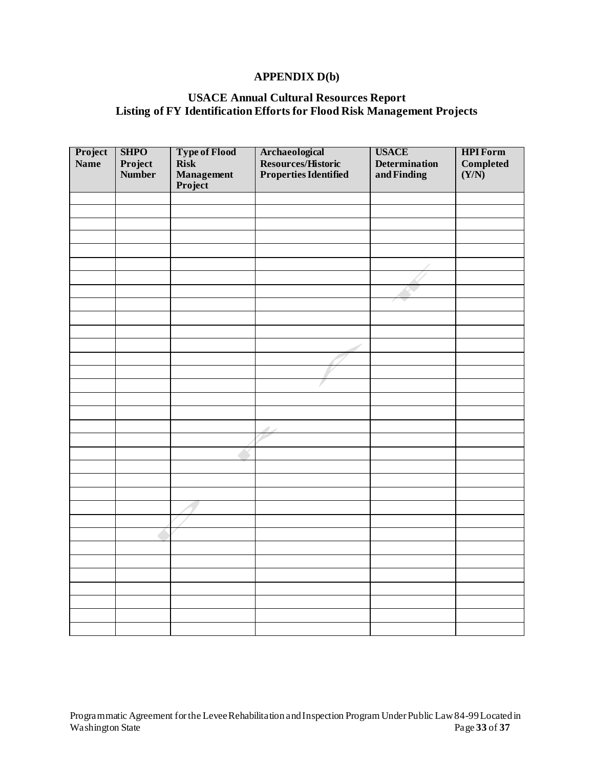## **APPENDIX D(b)**

#### **USACE Annual Cultural Resources Report Listing of FY Identification Efforts for Flood Risk Management Projects**

| Project | <b>SHPO</b> | <b>Type of Flood</b>  | Archaeological<br>Resources/Historic<br>Properties Identified | <b>USACE</b>                        | <b>HPI Form</b>                          |
|---------|-------------|-----------------------|---------------------------------------------------------------|-------------------------------------|------------------------------------------|
| Name    | Project     | Risk                  |                                                               |                                     | $\label{1} \textbf{Complete} \textbf{d}$ |
|         | Number      |                       |                                                               | <b>Determination</b><br>and Finding | (Y/N)                                    |
|         |             | Management<br>Project |                                                               |                                     |                                          |
|         |             |                       |                                                               |                                     |                                          |
|         |             |                       |                                                               |                                     |                                          |
|         |             |                       |                                                               |                                     |                                          |
|         |             |                       |                                                               |                                     |                                          |
|         |             |                       |                                                               |                                     |                                          |
|         |             |                       |                                                               |                                     |                                          |
|         |             |                       |                                                               |                                     |                                          |
|         |             |                       |                                                               |                                     |                                          |
|         |             |                       |                                                               |                                     |                                          |
|         |             |                       |                                                               |                                     |                                          |
|         |             |                       |                                                               |                                     |                                          |
|         |             |                       |                                                               |                                     |                                          |
|         |             |                       | <sup>e</sup>                                                  |                                     |                                          |
|         |             |                       |                                                               |                                     |                                          |
|         |             |                       |                                                               |                                     |                                          |
|         |             |                       |                                                               |                                     |                                          |
|         |             |                       |                                                               |                                     |                                          |
|         |             |                       |                                                               |                                     |                                          |
|         |             |                       | - 1                                                           |                                     |                                          |
|         |             |                       |                                                               |                                     |                                          |
|         |             |                       |                                                               |                                     |                                          |
|         |             |                       |                                                               |                                     |                                          |
|         |             |                       |                                                               |                                     |                                          |
|         |             |                       |                                                               |                                     |                                          |
|         |             |                       |                                                               |                                     |                                          |
|         |             |                       |                                                               |                                     |                                          |
|         |             |                       |                                                               |                                     |                                          |
|         |             |                       |                                                               |                                     |                                          |
|         |             |                       |                                                               |                                     |                                          |
|         |             |                       |                                                               |                                     |                                          |
|         |             |                       |                                                               |                                     |                                          |
|         |             |                       |                                                               |                                     |                                          |
|         |             |                       |                                                               |                                     |                                          |
|         |             |                       |                                                               |                                     |                                          |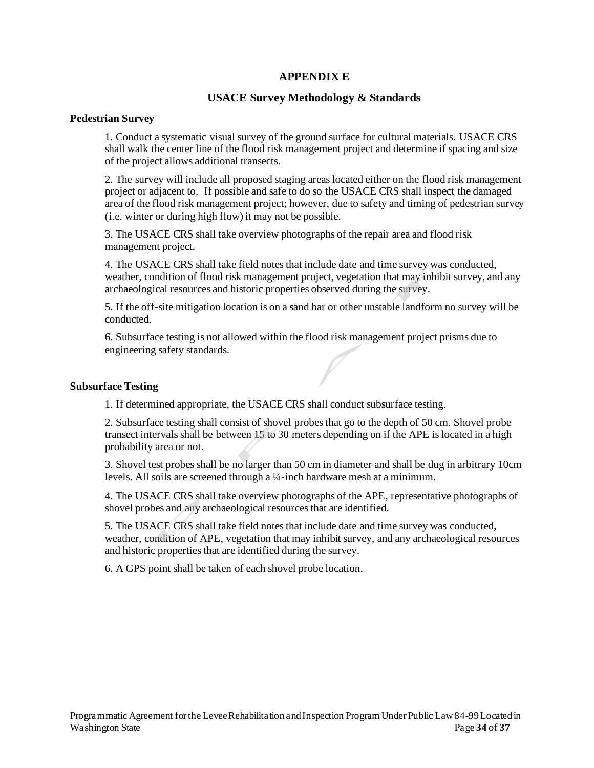#### **APPENDIX E**

#### **USACE Survey Methodology & Standards**

#### **Pedestrian Survey**

 1. Conduct a systematic visual survey of the ground surface for cultural materials. USACE CRS shall walk the center line of the flood risk management project and determine if spacing and size of the project allows additional transects.

 2. The survey will include all proposed staging areas located either on the flood risk management project or adjacent to. If possible and safe to do so the USACE CRS shall inspect the damaged area of the flood risk management project; however, due to safety and timing of pedestrian survey (i.e. winter or during high flow) it may not be possible.

 3. The USACE CRS shall take overview photographs of the repair area and flood risk management project.

 4. The USACE CRS shall take field notes that include date and time survey was conducted, weather, condition of flood risk management project, vegetation that may inhibit survey, and any archaeological resources and historic properties observed during the survey.

 5. If the off-site mitigation location is on a sand bar or other unstable landform no survey will be conducted.

conducted.<br>6. Subsurface testing is not allowed within the flood risk management project prisms due to engineering safety standards.

#### **Subsurface Testing**

**Example 26 Festing**<br>1. If determined appropriate, the USACE CRS shall conduct subsurface testing.

 2. Subsurface testing shall consist of shovel probes that go to the depth of 50 cm. Shovel probe transect intervals shall be between 15 to 30 meters depending on if the APE is located in a high probability area or not.

 3. Shovel test probes shall be no larger than 50 cm in diameter and shall be dug in arbitrary 10cm probability area of not.<br>
3. Shovel test probes shall be no larger than 50 cm in diameter and shall be du<br>
levels. All soils are screened through a ¼-inch hardware mesh at a minimum.

 4. The USACE CRS shall take overview photographs of the APE, representative photographs of shovel probes and any archaeological resources that are identified.

 5. The USACE CRS shall take field notes that include date and time survey was conducted, % shovel probes and any archaeological resources that are identified.<br>
5. The USACE CRS shall take field notes that include date and time survey was conducted,<br>
weather, condition of APE, vegetation that may inhibit survey and historic properties that are identified during the survey.

 6. A GPS point shall be taken of each shovel probe location.  $\overline{\phantom{a}}$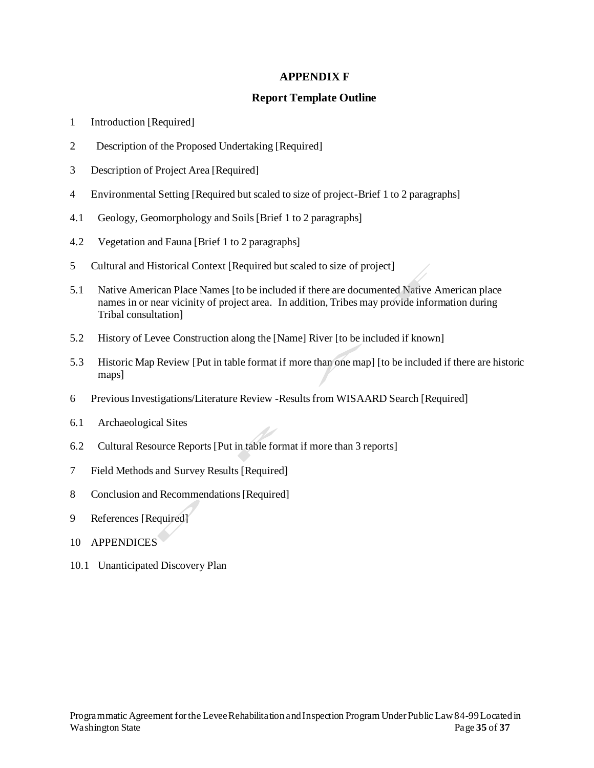### **APPENDIX F**

#### **Report Template Outline**

- 1 Introduction [Required]
- 2 Description of the Proposed Undertaking [Required]
- 3 Description of Project Area [Required]
- 4 Environmental Setting [Required but scaled to size of project-Brief 1 to 2 paragraphs]
- 4.1 Geology, Geomorphology and Soils [Brief 1 to 2 paragraphs]
- 4.2 Vegetation and Fauna [Brief 1 to 2 paragraphs]
- 5 Cultural and Historical Context [Required but scaled to size of project]
- 5.1 Native American Place Names [to be included if there are documented Native American place names in or near vicinity of project area. In addition, Tribes may provide information during Tribal consultation]
- 5.2 History of Levee Construction along the [Name] River [to be included if known]
- 5.3 Historic Map Review [Put in table format if more than one map] [to be included if there are historic maps]
- r<br>nm WISAARI 6 Previous Investigations/Literature Review -Results from WISAARD Search [Required]
- 6.1 Archaeological Sites
- 6.2 Cultural Resource Reports [Put in table format if more than 3 reports]
- Put in task<br>esults [Requ 7 Field Methods and Survey Results [Required]
- 8 Conclusion and Recommendations [Required]
- Required) 9 References [Required]
- 10 APPENDICES
- $10.1$  One 10.1 Unanticipated Discovery Plan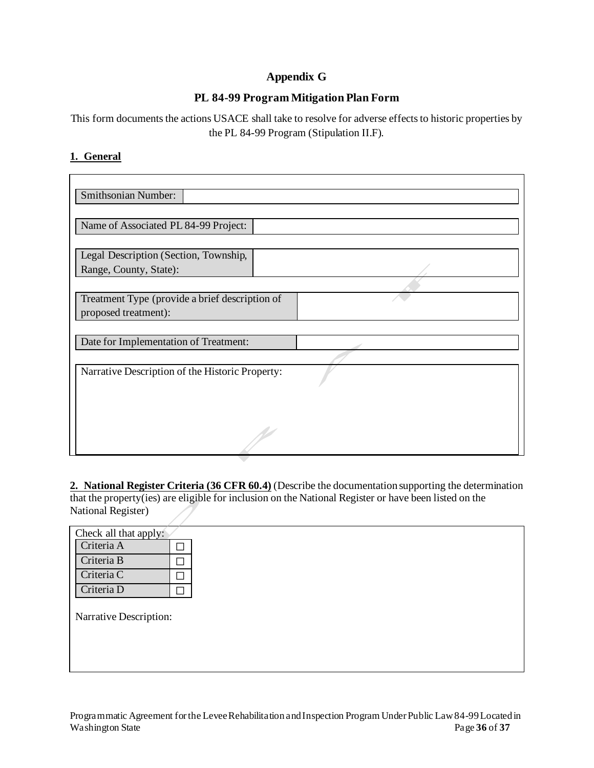## **Appendix G**

## **PL 84-99 Program Mitigation Plan Form**

 This form documents the actions USACE shall take to resolve for adverse effects to historic properties by the PL 84-99 Program (Stipulation II.F).

### **1. General**

| Smithsonian Number:                                                    |  |
|------------------------------------------------------------------------|--|
| Name of Associated PL 84-99 Project:                                   |  |
| Legal Description (Section, Township,<br>Range, County, State):        |  |
| Treatment Type (provide a brief description of<br>proposed treatment): |  |
| Date for Implementation of Treatment:                                  |  |
| Narrative Description of the Historic Property:                        |  |
|                                                                        |  |
|                                                                        |  |

 **2. National Register Criteria (36 CFR 60.4)** (Describe the documentation supporting the determination that the property(ies) are eligible for inclusion on the National Register or have been listed on the National Register)